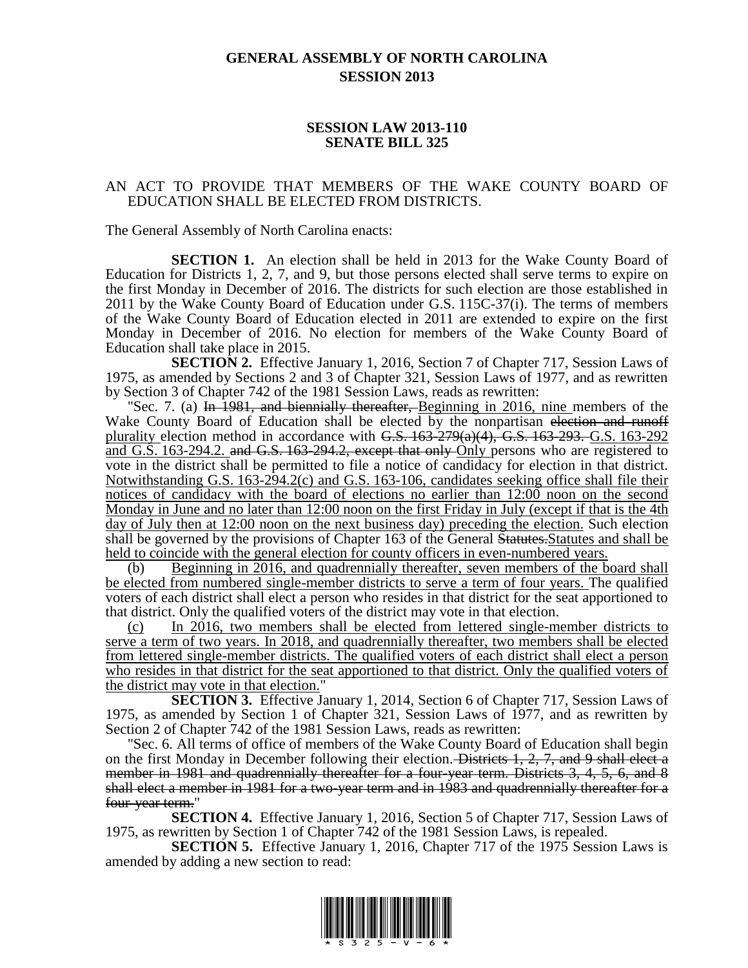## **GENERAL ASSEMBLY OF NORTH CAROLINA SESSION 2013**

## **SESSION LAW 2013-110 SENATE BILL 325**

## AN ACT TO PROVIDE THAT MEMBERS OF THE WAKE COUNTY BOARD OF EDUCATION SHALL BE ELECTED FROM DISTRICTS.

The General Assembly of North Carolina enacts:

**SECTION 1.** An election shall be held in 2013 for the Wake County Board of Education for Districts 1, 2, 7, and 9, but those persons elected shall serve terms to expire on the first Monday in December of 2016. The districts for such election are those established in 2011 by the Wake County Board of Education under G.S. 115C-37(i). The terms of members of the Wake County Board of Education elected in 2011 are extended to expire on the first Monday in December of 2016. No election for members of the Wake County Board of Education shall take place in 2015.

**SECTION 2.** Effective January 1, 2016, Section 7 of Chapter 717, Session Laws of 1975, as amended by Sections 2 and 3 of Chapter 321, Session Laws of 1977, and as rewritten by Section 3 of Chapter 742 of the 1981 Session Laws, reads as rewritten:

Sec. 7. (a) In 1981, and biennially thereafter, Beginning in 2016, nine members of the Wake County Board of Education shall be elected by the nonpartisan election and runoff plurality election method in accordance with  $G.S. 163-279(a)(4)$ ,  $G.S. 163-293$ .  $G.S. 163-292$ and G.S. 163-294.2. and G.S. 163-294.2, except that only Only persons who are registered to vote in the district shall be permitted to file a notice of candidacy for election in that district. Notwithstanding G.S. 163-294.2(c) and G.S. 163-106, candidates seeking office shall file their notices of candidacy with the board of elections no earlier than 12:00 noon on the second Monday in June and no later than 12:00 noon on the first Friday in July (except if that is the 4th day of July then at 12:00 noon on the next business day) preceding the election. Such election shall be governed by the provisions of Chapter 163 of the General Statutes. Statutes and shall be held to coincide with the general election for county officers in even-numbered years.

(b) Beginning in 2016, and quadrennially thereafter, seven members of the board shall be elected from numbered single-member districts to serve a term of four years. The qualified voters of each district shall elect a person who resides in that district for the seat apportioned to that district. Only the qualified voters of the district may vote in that election.

(c) In 2016, two members shall be elected from lettered single-member districts to serve a term of two years. In 2018, and quadrennially thereafter, two members shall be elected from lettered single-member districts. The qualified voters of each district shall elect a person who resides in that district for the seat apportioned to that district. Only the qualified voters of the district may vote in that election."

**SECTION 3.** Effective January 1, 2014, Section 6 of Chapter 717, Session Laws of 1975, as amended by Section 1 of Chapter 321, Session Laws of 1977, and as rewritten by Section 2 of Chapter 742 of the 1981 Session Laws, reads as rewritten:

"Sec. 6. All terms of office of members of the Wake County Board of Education shall begin on the first Monday in December following their election. Districts 1, 2, 7, and 9 shall elect a member in 1981 and quadrennially thereafter for a four-year term. Districts 3, 4, 5, 6, and 8 shall elect a member in 1981 for a two-year term and in 1983 and quadrennially thereafter for a four-year term."

**SECTION 4.** Effective January 1, 2016, Section 5 of Chapter 717, Session Laws of 1975, as rewritten by Section 1 of Chapter 742 of the 1981 Session Laws, is repealed.

**SECTION 5.** Effective January 1, 2016, Chapter 717 of the 1975 Session Laws is amended by adding a new section to read:

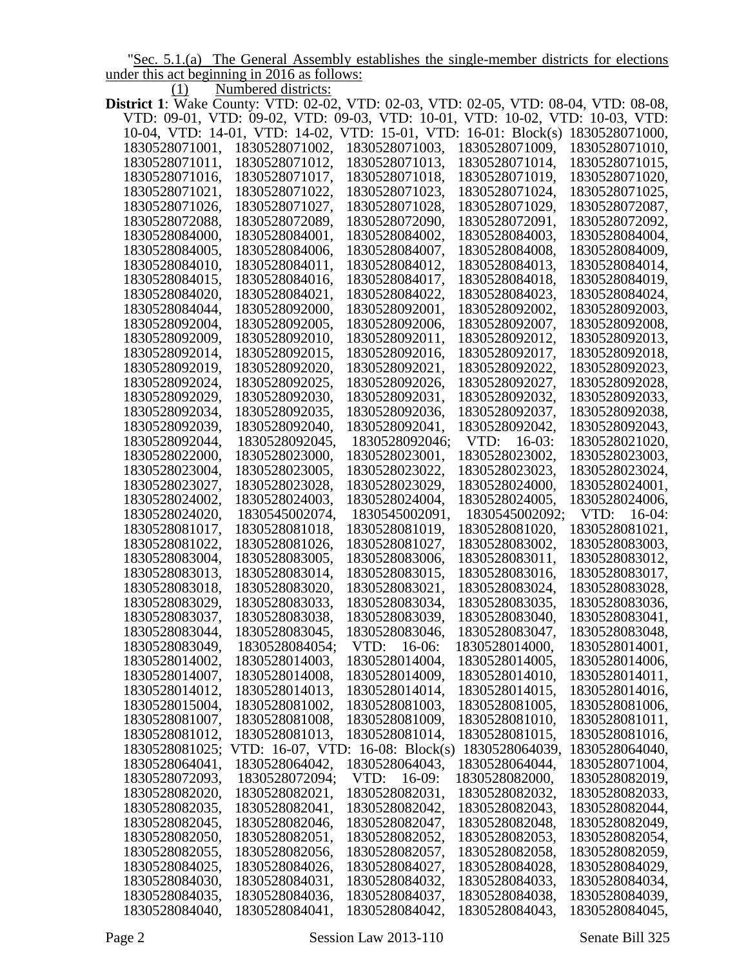"Sec. 5.1.(a) The General Assembly establishes the single-member districts for elections under this act beginning in 2016 as follows:

(1) Numbered districts:

|                |                  | <b>District 1</b> : Wake County: VTD: 02-02, VTD: 02-03, VTD: 02-05, VTD: 08-04, VTD: 08-08, |                     |                   |
|----------------|------------------|----------------------------------------------------------------------------------------------|---------------------|-------------------|
|                |                  | VTD: 09-01, VTD: 09-02, VTD: 09-03, VTD: 10-01, VTD: 10-02, VTD: 10-03, VTD:                 |                     |                   |
|                |                  | 10-04, VTD: 14-01, VTD: 14-02, VTD: 15-01, VTD: 16-01: Block(s)                              |                     | 1830528071000,    |
| 1830528071001, | 1830528071002,   | 1830528071003,                                                                               | 1830528071009,      | 1830528071010,    |
| 1830528071011, | 1830528071012,   | 1830528071013,                                                                               | 1830528071014,      | 1830528071015,    |
| 1830528071016, | 1830528071017,   | 1830528071018,                                                                               | 1830528071019,      | 1830528071020,    |
| 1830528071021, | 1830528071022,   | 1830528071023,                                                                               | 1830528071024,      | 1830528071025,    |
| 1830528071026, | 1830528071027,   | 1830528071028,                                                                               | 1830528071029,      | 1830528072087,    |
| 1830528072088, | 1830528072089,   | 1830528072090,                                                                               | 1830528072091,      | 1830528072092,    |
| 1830528084000, | 1830528084001,   | 1830528084002,                                                                               | 1830528084003,      | 1830528084004,    |
| 1830528084005, | 1830528084006,   | 1830528084007,                                                                               | 1830528084008,      | 1830528084009,    |
| 1830528084010, | 1830528084011,   | 1830528084012,                                                                               | 1830528084013,      | 1830528084014,    |
| 1830528084015, | 1830528084016,   | 1830528084017,                                                                               | 1830528084018,      | 1830528084019,    |
| 1830528084020, | 1830528084021,   | 1830528084022,                                                                               | 1830528084023,      | 1830528084024,    |
| 1830528084044, | 1830528092000,   | 1830528092001,                                                                               | 1830528092002,      | 1830528092003,    |
|                |                  | 1830528092006,                                                                               |                     | 1830528092008,    |
| 1830528092004, | 1830528092005,   |                                                                                              | 1830528092007,      |                   |
| 1830528092009, | 1830528092010,   | 1830528092011,                                                                               | 1830528092012,      | 1830528092013,    |
| 1830528092014, | 1830528092015,   | 1830528092016,                                                                               | 1830528092017,      | 1830528092018,    |
| 1830528092019, | 1830528092020,   | 1830528092021,                                                                               | 1830528092022,      | 1830528092023,    |
| 1830528092024, | 1830528092025,   | 1830528092026,                                                                               | 1830528092027,      | 1830528092028,    |
| 1830528092029, | 1830528092030,   | 1830528092031,                                                                               | 1830528092032,      | 1830528092033,    |
| 1830528092034, | 1830528092035,   | 1830528092036,                                                                               | 1830528092037,      | 1830528092038,    |
| 1830528092039, | 1830528092040,   | 1830528092041,                                                                               | 1830528092042,      | 1830528092043,    |
| 1830528092044, | 1830528092045,   | 1830528092046;                                                                               | VTD:<br>$16 - 03$ : | 1830528021020,    |
| 1830528022000, | 1830528023000,   | 1830528023001,                                                                               | 1830528023002,      | 1830528023003,    |
| 1830528023004, | 1830528023005,   | 1830528023022,                                                                               | 1830528023023,      | 1830528023024,    |
| 1830528023027, | 1830528023028,   | 1830528023029,                                                                               | 1830528024000,      | 1830528024001,    |
| 1830528024002, | 1830528024003,   | 1830528024004,                                                                               | 1830528024005,      | 1830528024006,    |
| 1830528024020, | 1830545002074,   | 1830545002091,                                                                               | 1830545002092;      | VTD:<br>$16-04$ : |
| 1830528081017, | 1830528081018,   | 1830528081019,                                                                               | 1830528081020,      | 1830528081021,    |
| 1830528081022, | 1830528081026,   | 1830528081027,                                                                               | 1830528083002,      | 1830528083003,    |
| 1830528083004, | 1830528083005,   | 1830528083006,                                                                               | 1830528083011,      | 1830528083012,    |
| 1830528083013, | 1830528083014,   | 1830528083015,                                                                               | 1830528083016,      | 1830528083017,    |
| 1830528083018, | 1830528083020,   | 1830528083021,                                                                               | 1830528083024,      | 1830528083028,    |
| 1830528083029, | 1830528083033,   | 1830528083034,                                                                               | 1830528083035,      | 1830528083036,    |
| 1830528083037, | 1830528083038,   | 1830528083039,                                                                               | 1830528083040,      | 1830528083041,    |
| 1830528083044, | 1830528083045,   | 1830528083046,                                                                               | 1830528083047,      | 1830528083048,    |
| 1830528083049, | 1830528084054;   | VTD:<br>$16-06:$                                                                             | 1830528014000,      | 1830528014001,    |
| 1830528014002, | 1830528014003,   | 1830528014004,                                                                               | 1830528014005,      | 1830528014006,    |
| 1830528014007, | 1830528014008,   | 1830528014009,                                                                               | 1830528014010,      | 1830528014011,    |
| 1830528014012, | 1830528014013,   | 1830528014014,                                                                               | 1830528014015,      | 1830528014016,    |
| 1830528015004, | 1830528081002,   | 1830528081003,                                                                               | 1830528081005,      | 1830528081006,    |
| 1830528081007, | 1830528081008,   | 1830528081009,                                                                               | 1830528081010,      | 1830528081011,    |
| 1830528081012, | 1830528081013,   | 1830528081014,                                                                               | 1830528081015,      | 1830528081016,    |
| 1830528081025; | VTD: 16-07, VTD: | 16-08: $Block(s)$                                                                            | 1830528064039,      | 1830528064040,    |
| 1830528064041, | 1830528064042,   | 1830528064043,                                                                               | 1830528064044,      | 1830528071004,    |
| 1830528072093, | 1830528072094;   | VTD:<br>$16-09:$                                                                             | 1830528082000,      | 1830528082019,    |
| 1830528082020, | 1830528082021,   | 1830528082031,                                                                               | 1830528082032,      | 1830528082033,    |
| 1830528082035, | 1830528082041,   | 1830528082042,                                                                               | 1830528082043,      | 1830528082044,    |
|                |                  |                                                                                              |                     |                   |
| 1830528082045, | 1830528082046,   | 1830528082047,                                                                               | 1830528082048,      | 1830528082049,    |
| 1830528082050, | 1830528082051,   | 1830528082052,                                                                               | 1830528082053,      | 1830528082054,    |
| 1830528082055, | 1830528082056,   | 1830528082057,                                                                               | 1830528082058,      | 1830528082059,    |
| 1830528084025, | 1830528084026,   | 1830528084027,                                                                               | 1830528084028,      | 1830528084029,    |
| 1830528084030, | 1830528084031,   | 1830528084032,                                                                               | 1830528084033,      | 1830528084034,    |
| 1830528084035, | 1830528084036,   | 1830528084037,                                                                               | 1830528084038,      | 1830528084039,    |
| 1830528084040, | 1830528084041,   | 1830528084042,                                                                               | 1830528084043,      | 1830528084045,    |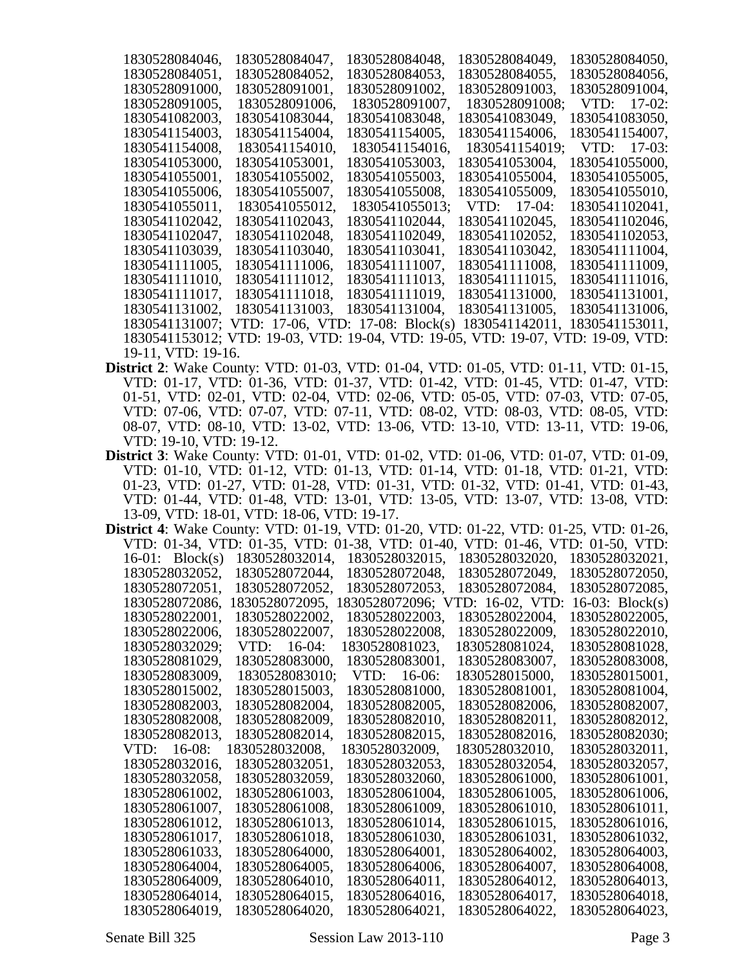| 1830528084046,     | 1830528084047,                                                                  | 1830528084048. | 1830528084049, | 1830528084050, |
|--------------------|---------------------------------------------------------------------------------|----------------|----------------|----------------|
| 1830528084051,     | 1830528084052,                                                                  | 1830528084053, | 1830528084055, | 1830528084056, |
| 1830528091000,     | 1830528091001,                                                                  | 1830528091002, | 1830528091003, | 1830528091004, |
| 1830528091005,     | 1830528091006,                                                                  | 1830528091007, | 1830528091008; | $VID: 17-02:$  |
| 1830541082003,     | 1830541083044,                                                                  | 1830541083048, | 1830541083049, | 1830541083050, |
| 1830541154003,     | 1830541154004,                                                                  | 1830541154005, | 1830541154006, | 1830541154007, |
| 1830541154008,     | 1830541154010,                                                                  | 1830541154016, | 1830541154019; | $VID: 17-03:$  |
| 1830541053000,     | 1830541053001,                                                                  | 1830541053003, | 1830541053004, | 1830541055000. |
| 1830541055001,     | 1830541055002,                                                                  | 1830541055003, | 1830541055004, | 1830541055005. |
| 1830541055006.     | 1830541055007,                                                                  | 1830541055008. | 1830541055009, | 1830541055010. |
| 1830541055011,     | 1830541055012,                                                                  | 1830541055013; | $VID: 17-04:$  | 1830541102041, |
| 1830541102042,     | 1830541102043,                                                                  | 1830541102044, | 1830541102045, | 1830541102046, |
| 1830541102047,     | 1830541102048,                                                                  | 1830541102049, | 1830541102052, | 1830541102053, |
| 1830541103039,     | 1830541103040,                                                                  | 1830541103041, | 1830541103042, | 1830541111004, |
| 1830541111005,     | 1830541111006,                                                                  | 1830541111007, | 1830541111008, | 1830541111009, |
| 1830541111010,     | 1830541111012,                                                                  | 1830541111013, | 1830541111015, | 1830541111016, |
| 1830541111017,     | 1830541111018,                                                                  | 1830541111019, | 1830541131000, | 1830541131001, |
| 1830541131002.     | 1830541131003.                                                                  | 1830541131004. | 1830541131005. | 1830541131006, |
|                    | 1830541131007; VTD: 17-06, VTD: 17-08: Block(s)                                 |                | 1830541142011, | 1830541153011, |
|                    | 1830541153012; VTD: 19-03, VTD: 19-04, VTD: 19-05, VTD: 19-07, VTD: 19-09, VTD: |                |                |                |
| 19-11, VTD: 19-16. |                                                                                 |                |                |                |

- **District 2**: Wake County: VTD: 01-03, VTD: 01-04, VTD: 01-05, VTD: 01-11, VTD: 01-15, VTD: 01-17, VTD: 01-36, VTD: 01-37, VTD: 01-42, VTD: 01-45, VTD: 01-47, VTD: 01-51, VTD: 02-01, VTD: 02-04, VTD: 02-06, VTD: 05-05, VTD: 07-03, VTD: 07-05, VTD: 07-06, VTD: 07-07, VTD: 07-11, VTD: 08-02, VTD: 08-03, VTD: 08-05, VTD: 08-07, VTD: 08-10, VTD: 13-02, VTD: 13-06, VTD: 13-10, VTD: 13-11, VTD: 19-06, VTD: 19-10, VTD: 19-12.
- **District 3**: Wake County: VTD: 01-01, VTD: 01-02, VTD: 01-06, VTD: 01-07, VTD: 01-09, VTD: 01-10, VTD: 01-12, VTD: 01-13, VTD: 01-14, VTD: 01-18, VTD: 01-21, VTD: 01-23, VTD: 01-27, VTD: 01-28, VTD: 01-31, VTD: 01-32, VTD: 01-41, VTD: 01-43, VTD: 01-44, VTD: 01-48, VTD: 13-01, VTD: 13-05, VTD: 13-07, VTD: 13-08, VTD: 13-09, VTD: 18-01, VTD: 18-06, VTD: 19-17.

| District 4: Wake County: VTD: 01-19, VTD: 01-20, VTD: 01-22, VTD: 01-25, VTD: 01-26, |                                                                              |                     |                 |                   |
|--------------------------------------------------------------------------------------|------------------------------------------------------------------------------|---------------------|-----------------|-------------------|
|                                                                                      | VTD: 01-34, VTD: 01-35, VTD: 01-38, VTD: 01-40, VTD: 01-46, VTD: 01-50, VTD: |                     |                 |                   |
| $16-01$ : Block(s)                                                                   | 1830528032014,                                                               | 1830528032015,      | 1830528032020,  | 1830528032021,    |
| 1830528032052,                                                                       | 1830528072044,                                                               | 1830528072048,      | 1830528072049,  | 1830528072050,    |
| 1830528072051,                                                                       | 1830528072052.                                                               | 1830528072053.      | 1830528072084,  | 1830528072085.    |
| 1830528072086,                                                                       | 1830528072095,                                                               | 1830528072096;<br>v | TD: 16-02, VTD: | 16-03: $Block(s)$ |
| 1830528022001.                                                                       | 1830528022002,                                                               | 1830528022003.      | 1830528022004,  | 1830528022005,    |
| 1830528022006,                                                                       | 1830528022007,                                                               | 1830528022008,      | 1830528022009.  | 1830528022010,    |
| 1830528032029;                                                                       | $VTD: 16-04:$                                                                | 1830528081023.      | 1830528081024,  | 1830528081028.    |
| 1830528081029,                                                                       | 1830528083000,                                                               | 1830528083001,      | 1830528083007.  | 1830528083008.    |
| 1830528083009,                                                                       | 1830528083010;                                                               | $VTD: 16-06:$       | 1830528015000,  | 1830528015001,    |
| 1830528015002,                                                                       | 1830528015003,                                                               | 1830528081000,      | 1830528081001,  | 1830528081004,    |
| 1830528082003.                                                                       | 1830528082004,                                                               | 1830528082005,      | 1830528082006.  | 1830528082007,    |
| 1830528082008,                                                                       | 1830528082009.                                                               | 1830528082010,      | 1830528082011,  | 1830528082012,    |
| 1830528082013,                                                                       | 1830528082014,                                                               | 1830528082015,      | 1830528082016,  | 1830528082030;    |
| $VID: 16-08:$                                                                        | 1830528032008.                                                               | 1830528032009.      | 1830528032010.  | 1830528032011,    |
| 1830528032016.                                                                       | 1830528032051,                                                               | 1830528032053.      | 1830528032054,  | 1830528032057,    |
| 1830528032058.                                                                       | 1830528032059.                                                               | 1830528032060,      | 1830528061000.  | 1830528061001.    |
| 1830528061002.                                                                       | 1830528061003.                                                               | 1830528061004,      | 1830528061005.  | 1830528061006,    |
| 1830528061007,                                                                       | 1830528061008,                                                               | 1830528061009,      | 1830528061010,  | 1830528061011,    |
| 1830528061012.                                                                       | 1830528061013.                                                               | 1830528061014,      | 1830528061015.  | 1830528061016,    |
| 1830528061017,                                                                       | 1830528061018,                                                               | 1830528061030,      | 1830528061031,  | 1830528061032,    |
| 1830528061033,                                                                       | 1830528064000,                                                               | 1830528064001,      | 1830528064002,  | 1830528064003,    |
| 1830528064004,                                                                       | 1830528064005,                                                               | 1830528064006,      | 1830528064007,  | 1830528064008,    |
| 1830528064009.                                                                       | 1830528064010,                                                               | 1830528064011,      | 1830528064012,  | 1830528064013.    |
| 1830528064014,                                                                       | 1830528064015,                                                               | 1830528064016,      | 1830528064017.  | 1830528064018,    |
| 1830528064019.                                                                       | 1830528064020.                                                               | 1830528064021,      | 1830528064022.  | 1830528064023.    |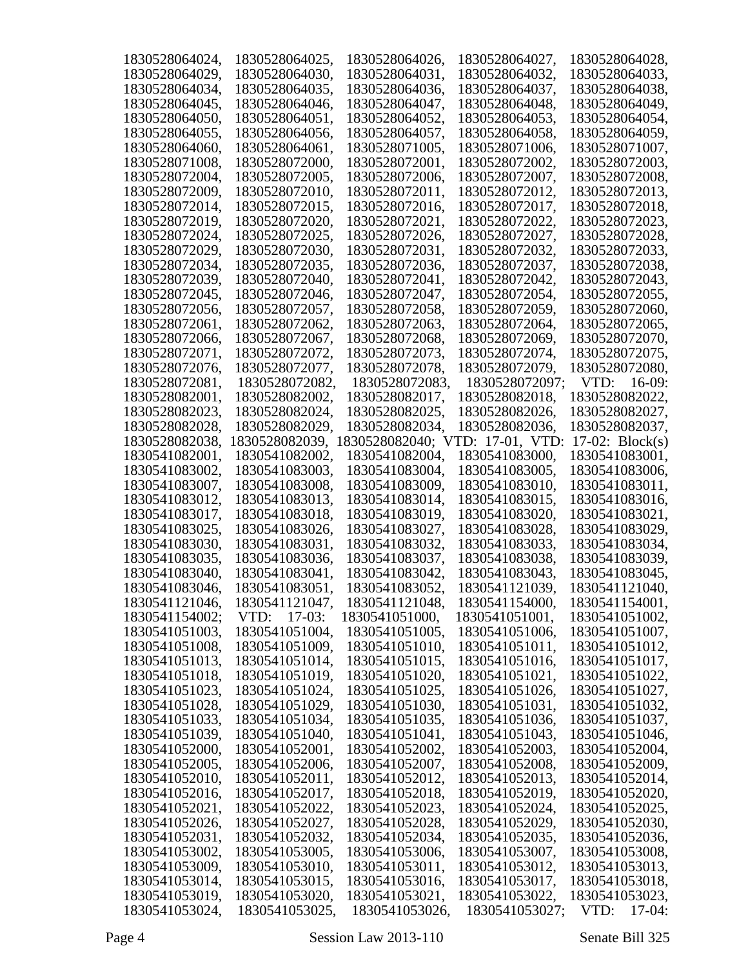| 1830528064024, | 1830528064025, | 1830528064026,       | 1830528064027,     | 1830528064028,    |
|----------------|----------------|----------------------|--------------------|-------------------|
| 1830528064029, | 1830528064030, | 1830528064031,       | 1830528064032,     | 1830528064033,    |
| 1830528064034, | 1830528064035, | 1830528064036,       | 1830528064037,     | 1830528064038,    |
| 1830528064045, | 1830528064046, | 1830528064047,       | 1830528064048,     | 1830528064049,    |
| 1830528064050, | 1830528064051, | 1830528064052,       | 1830528064053,     | 1830528064054,    |
| 1830528064055, | 1830528064056, | 1830528064057,       | 1830528064058,     | 1830528064059,    |
| 1830528064060, | 1830528064061, | 1830528071005,       | 1830528071006,     | 1830528071007,    |
| 1830528071008, | 1830528072000, | 1830528072001,       | 1830528072002,     | 1830528072003,    |
| 1830528072004, |                |                      |                    | 1830528072008,    |
|                | 1830528072005, | 1830528072006,       | 1830528072007,     |                   |
| 1830528072009, | 1830528072010, | 1830528072011,       | 1830528072012,     | 1830528072013,    |
| 1830528072014, | 1830528072015, | 1830528072016,       | 1830528072017,     | 1830528072018,    |
| 1830528072019, | 1830528072020, | 1830528072021,       | 1830528072022,     | 1830528072023,    |
| 1830528072024, | 1830528072025, | 1830528072026,       | 1830528072027,     | 1830528072028,    |
| 1830528072029, | 1830528072030, | 1830528072031,       | 1830528072032,     | 1830528072033,    |
| 1830528072034, | 1830528072035, | 1830528072036,       | 1830528072037,     | 1830528072038,    |
| 1830528072039, | 1830528072040, | 1830528072041,       | 1830528072042,     | 1830528072043,    |
| 1830528072045, | 1830528072046, | 1830528072047,       | 1830528072054,     | 1830528072055,    |
| 1830528072056, | 1830528072057, | 1830528072058,       | 1830528072059,     | 1830528072060,    |
| 1830528072061, | 1830528072062, | 1830528072063,       | 1830528072064,     | 1830528072065,    |
| 1830528072066, | 1830528072067, | 1830528072068,       | 1830528072069,     | 1830528072070,    |
| 1830528072071, | 1830528072072, | 1830528072073,       | 1830528072074,     | 1830528072075,    |
| 1830528072076, | 1830528072077, | 1830528072078,       | 1830528072079,     | 1830528072080,    |
| 1830528072081, | 1830528072082, | 1830528072083,       | 1830528072097;     | $16-09:$<br>VTD:  |
| 1830528082001, | 1830528082002, | 1830528082017,       | 1830528082018,     | 1830528082022,    |
| 1830528082023, | 1830528082024, | 1830528082025,       | 1830528082026,     | 1830528082027,    |
| 1830528082028, | 1830528082029, | 1830528082034,       | 1830528082036,     | 1830528082037,    |
| 1830528082038, | 1830528082039, | 830528082040; V<br>1 | 17-01, VTD:<br>ID: | 17-02: $Block(s)$ |
| 1830541082001, | 1830541082002, | 1830541082004,       | 1830541083000,     | 1830541083001,    |
| 1830541083002, | 1830541083003, | 1830541083004,       | 1830541083005,     | 1830541083006,    |
| 1830541083007, | 1830541083008, | 1830541083009,       | 1830541083010,     | 1830541083011,    |
| 1830541083012, | 1830541083013, | 1830541083014,       | 1830541083015,     | 1830541083016,    |
| 1830541083017, | 1830541083018, | 1830541083019,       | 1830541083020,     | 1830541083021,    |
| 1830541083025, | 1830541083026, | 1830541083027,       | 1830541083028,     | 1830541083029,    |
| 1830541083030, | 1830541083031, | 1830541083032,       | 1830541083033,     | 1830541083034,    |
| 1830541083035, | 1830541083036, | 1830541083037,       | 1830541083038,     | 1830541083039,    |
| 1830541083040, | 1830541083041, | 1830541083042,       | 1830541083043,     | 1830541083045,    |
| 1830541083046, | 1830541083051, | 1830541083052,       | 1830541121039,     | 1830541121040,    |
| 1830541121046, | 1830541121047, | 1830541121048,       | 1830541154000,     | 1830541154001,    |
| 1830541154002; | VTD: 17-03:    | 1830541051000,       | 1830541051001,     | 1830541051002,    |
| 1830541051003, | 1830541051004, | 1830541051005,       | 1830541051006,     | 1830541051007,    |
| 1830541051008, | 1830541051009, | 1830541051010,       | 1830541051011,     | 1830541051012,    |
| 1830541051013, | 1830541051014, | 1830541051015,       | 1830541051016,     | 1830541051017,    |
|                |                |                      |                    |                   |
| 1830541051018, | 1830541051019, | 1830541051020,       | 1830541051021,     | 1830541051022,    |
| 1830541051023, | 1830541051024, | 1830541051025,       | 1830541051026,     | 1830541051027,    |
| 1830541051028, | 1830541051029, | 1830541051030,       | 1830541051031,     | 1830541051032,    |
| 1830541051033, | 1830541051034, | 1830541051035,       | 1830541051036,     | 1830541051037,    |
| 1830541051039, | 1830541051040, | 1830541051041,       | 1830541051043,     | 1830541051046,    |
| 1830541052000, | 1830541052001, | 1830541052002,       | 1830541052003,     | 1830541052004,    |
| 1830541052005, | 1830541052006, | 1830541052007,       | 1830541052008,     | 1830541052009,    |
| 1830541052010, | 1830541052011, | 1830541052012,       | 1830541052013,     | 1830541052014,    |
| 1830541052016, | 1830541052017, | 1830541052018,       | 1830541052019,     | 1830541052020,    |
| 1830541052021, | 1830541052022, | 1830541052023,       | 1830541052024,     | 1830541052025,    |
| 1830541052026, | 1830541052027, | 1830541052028,       | 1830541052029,     | 1830541052030,    |
| 1830541052031, | 1830541052032, | 1830541052034,       | 1830541052035,     | 1830541052036,    |
| 1830541053002, | 1830541053005, | 1830541053006,       | 1830541053007,     | 1830541053008,    |
| 1830541053009, | 1830541053010, | 1830541053011,       | 1830541053012,     | 1830541053013,    |
| 1830541053014, | 1830541053015, | 1830541053016,       | 1830541053017,     | 1830541053018,    |
| 1830541053019, | 1830541053020, | 1830541053021,       | 1830541053022,     | 1830541053023,    |
| 1830541053024, | 1830541053025, | 1830541053026,       | 1830541053027;     | $17-04:$<br>VTD:  |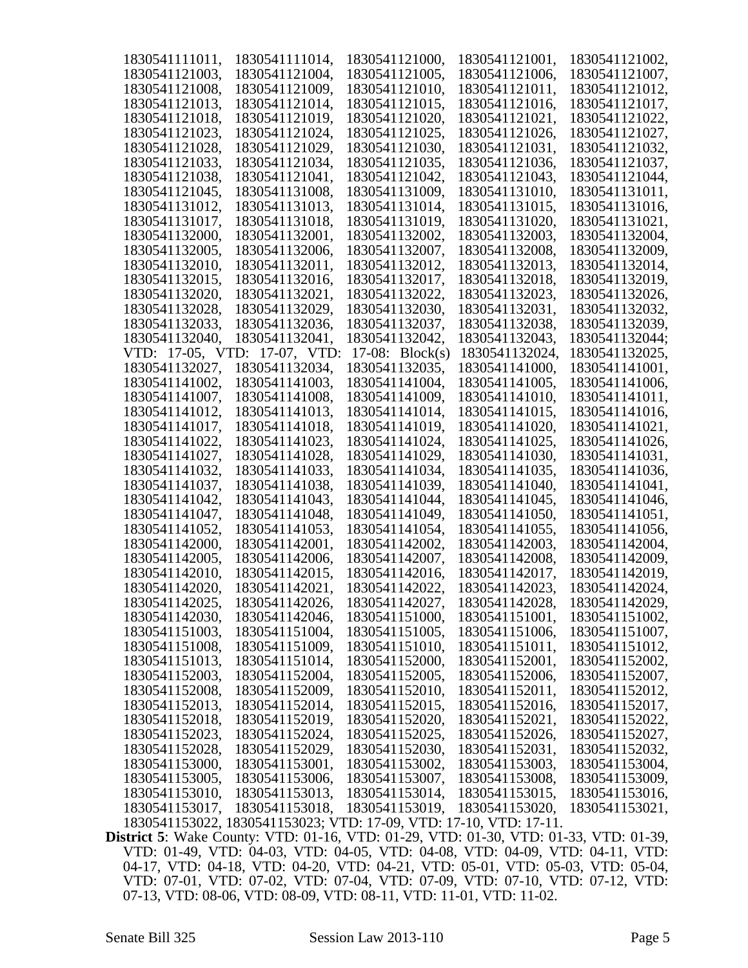| 1830541111011,   | 1830541111014,                                                                | 1830541121000,    | 1830541121001, | 1830541121002, |
|------------------|-------------------------------------------------------------------------------|-------------------|----------------|----------------|
| 1830541121003,   | 1830541121004,                                                                | 1830541121005,    | 1830541121006, | 1830541121007, |
| 1830541121008,   | 1830541121009,                                                                | 1830541121010,    | 1830541121011, | 1830541121012, |
| 1830541121013,   | 1830541121014,                                                                | 1830541121015,    | 1830541121016, | 1830541121017, |
| 1830541121018,   | 1830541121019,                                                                | 1830541121020,    | 1830541121021, | 1830541121022, |
| 1830541121023,   | 1830541121024,                                                                | 1830541121025,    | 1830541121026, | 1830541121027, |
| 1830541121028,   | 1830541121029,                                                                | 1830541121030,    | 1830541121031, | 1830541121032, |
| 1830541121033,   | 1830541121034,                                                                | 1830541121035,    | 1830541121036, | 1830541121037, |
| 1830541121038,   | 1830541121041,                                                                | 1830541121042,    | 1830541121043, | 1830541121044, |
| 1830541121045,   | 1830541131008,                                                                | 1830541131009,    | 1830541131010, | 1830541131011, |
| 1830541131012,   | 1830541131013,                                                                | 1830541131014,    | 1830541131015, | 1830541131016, |
| 1830541131017,   | 1830541131018,                                                                | 1830541131019,    | 1830541131020, | 1830541131021. |
| 1830541132000,   | 1830541132001,                                                                | 1830541132002,    | 1830541132003, | 1830541132004, |
| 1830541132005,   | 1830541132006,                                                                | 1830541132007,    | 1830541132008, | 1830541132009, |
| 1830541132010,   | 1830541132011,                                                                | 1830541132012,    | 1830541132013, | 1830541132014, |
| 1830541132015,   | 1830541132016,                                                                | 1830541132017,    | 1830541132018, | 1830541132019, |
| 1830541132020,   | 1830541132021,                                                                | 1830541132022,    | 1830541132023, | 1830541132026, |
| 1830541132028,   | 1830541132029,                                                                | 1830541132030,    | 1830541132031, | 1830541132032, |
| 1830541132033,   | 1830541132036,                                                                | 1830541132037,    | 1830541132038, | 1830541132039, |
| 1830541132040,   | 1830541132041,                                                                | 1830541132042,    | 1830541132043, | 1830541132044; |
| VTD: 17-05, VTD: | 17-07, VTD:                                                                   | 17-08: $Block(s)$ | 1830541132024, | 1830541132025, |
| 1830541132027,   | 1830541132034,                                                                | 1830541132035,    | 1830541141000, | 1830541141001, |
| 1830541141002,   | 1830541141003,                                                                | 1830541141004,    | 1830541141005, | 1830541141006, |
| 1830541141007,   | 1830541141008,                                                                | 1830541141009,    | 1830541141010, | 1830541141011, |
| 1830541141012,   | 1830541141013,                                                                | 1830541141014,    | 1830541141015, | 1830541141016, |
| 1830541141017,   | 1830541141018,                                                                | 1830541141019,    | 1830541141020, | 1830541141021, |
| 1830541141022,   | 1830541141023,                                                                | 1830541141024,    | 1830541141025, | 1830541141026, |
| 1830541141027,   | 1830541141028,                                                                | 1830541141029,    | 1830541141030, | 1830541141031, |
| 1830541141032,   | 1830541141033,                                                                | 1830541141034,    | 1830541141035, | 1830541141036, |
| 1830541141037,   | 1830541141038,                                                                | 1830541141039,    | 1830541141040, | 1830541141041, |
| 1830541141042,   | 1830541141043,                                                                | 1830541141044,    | 1830541141045, | 1830541141046, |
| 1830541141047,   | 1830541141048,                                                                | 1830541141049,    | 1830541141050, | 1830541141051, |
| 1830541141052,   | 1830541141053,                                                                | 1830541141054,    | 1830541141055, | 1830541141056, |
| 1830541142000,   | 1830541142001,                                                                | 1830541142002,    | 1830541142003, | 1830541142004, |
| 1830541142005,   | 1830541142006,                                                                | 1830541142007,    | 1830541142008, | 1830541142009, |
| 1830541142010,   | 1830541142015,                                                                | 1830541142016,    | 1830541142017, | 1830541142019, |
| 1830541142020,   | 1830541142021,                                                                | 1830541142022,    | 1830541142023, | 1830541142024, |
| 1830541142025,   | 1830541142026,                                                                | 1830541142027,    | 1830541142028, | 1830541142029, |
| 1830541142030,   | 1830541142046,                                                                | 1830541151000,    | 1830541151001, | 1830541151002, |
| 1830541151003,   | 1830541151004,                                                                | 1830541151005,    | 1830541151006, | 1830541151007, |
| 1830541151008,   | 1830541151009,                                                                | 1830541151010,    | 1830541151011, | 1830541151012, |
| 1830541151013,   | 1830541151014,                                                                | 1830541152000,    | 1830541152001, | 1830541152002, |
| 1830541152003,   | 1830541152004,                                                                | 1830541152005,    | 1830541152006, | 1830541152007, |
| 1830541152008,   | 1830541152009,                                                                | 1830541152010,    | 1830541152011, | 1830541152012, |
| 1830541152013,   | 1830541152014,                                                                | 1830541152015,    | 1830541152016, | 1830541152017, |
| 1830541152018,   | 1830541152019,                                                                | 1830541152020,    | 1830541152021, | 1830541152022, |
| 1830541152023,   | 1830541152024,                                                                | 1830541152025,    | 1830541152026, | 1830541152027, |
| 1830541152028,   | 1830541152029,                                                                | 1830541152030,    | 1830541152031, | 1830541152032, |
| 1830541153000,   | 1830541153001,                                                                | 1830541153002,    | 1830541153003, | 1830541153004, |
| 1830541153005,   | 1830541153006,                                                                | 1830541153007,    | 1830541153008, | 1830541153009, |
| 1830541153010,   | 1830541153013,                                                                | 1830541153014,    | 1830541153015, | 1830541153016, |
| 1830541153017,   | 1830541153018,                                                                | 1830541153019,    | 1830541153020, | 1830541153021, |
|                  | 1830541153022, 1830541153023; VTD: 17-09, VTD: 17-10, VTD: 17-11.             |                   |                |                |
|                  | strict 5: Wake County: VTD: 01-16 VTD: 01-29 VTD: 01-30 VTD: 01-33 VTD: 01-39 |                   |                |                |

**District 5**: Wake County: VTD: 01-16, VTD: 01-29, VTD: 01-30, VTD: 01-33, VTD: 01-39, VTD: 01-49, VTD: 04-03, VTD: 04-05, VTD: 04-08, VTD: 04-09, VTD: 04-11, VTD: 04-17, VTD: 04-18, VTD: 04-20, VTD: 04-21, VTD: 05-01, VTD: 05-03, VTD: 05-04, VTD: 07-01, VTD: 07-02, VTD: 07-04, VTD: 07-09, VTD: 07-10, VTD: 07-12, VTD: 07-13, VTD: 08-06, VTD: 08-09, VTD: 08-11, VTD: 11-01, VTD: 11-02.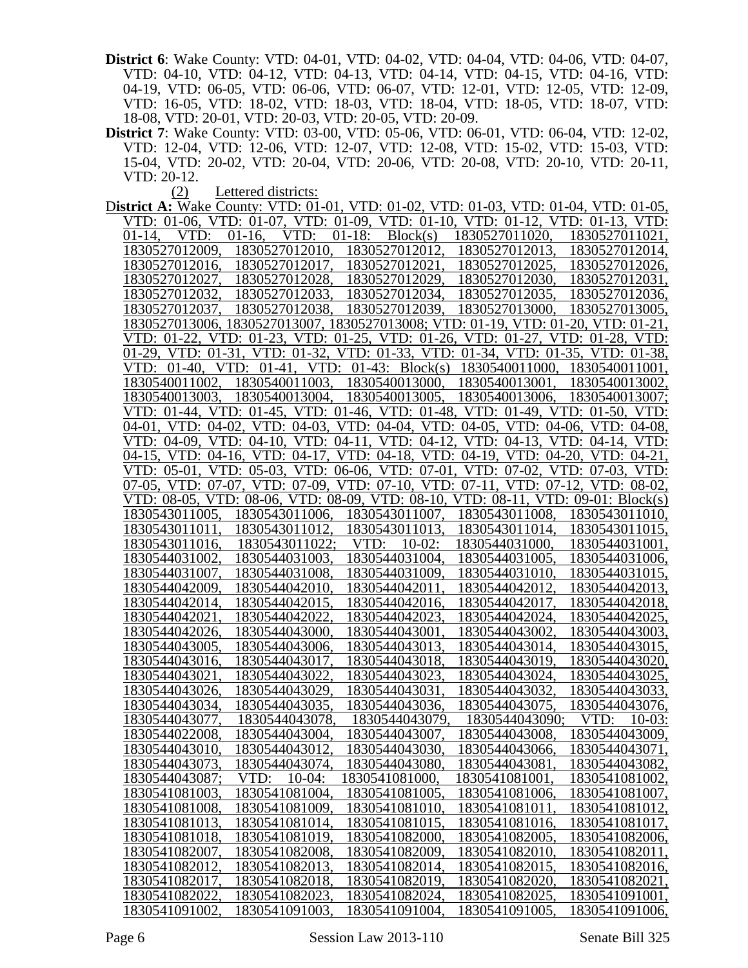- **District 6**: Wake County: VTD: 04-01, VTD: 04-02, VTD: 04-04, VTD: 04-06, VTD: 04-07, VTD: 04-10, VTD: 04-12, VTD: 04-13, VTD: 04-14, VTD: 04-15, VTD: 04-16, VTD: 04-19, VTD: 06-05, VTD: 06-06, VTD: 06-07, VTD: 12-01, VTD: 12-05, VTD: 12-09, VTD: 16-05, VTD: 18-02, VTD: 18-03, VTD: 18-04, VTD: 18-05, VTD: 18-07, VTD: 18-08, VTD: 20-01, VTD: 20-03, VTD: 20-05, VTD: 20-09.
- **District 7**: Wake County: VTD: 03-00, VTD: 05-06, VTD: 06-01, VTD: 06-04, VTD: 12-02, VTD: 12-04, VTD: 12-06, VTD: 12-07, VTD: 12-08, VTD: 15-02, VTD: 15-03, VTD: 15-04, VTD: 20-02, VTD: 20-04, VTD: 20-06, VTD: 20-08, VTD: 20-10, VTD: 20-11, VTD: 20-12.

(2) Lettered districts:

D**istrict A:** Wake County: VTD: 01-01, VTD: 01-02, VTD: 01-03, VTD: 01-04, VTD: 01-05, VTD: 01-06, VTD: 01-07, VTD: 01-09, VTD: 01-10, VTD: 01-12, VTD: 01-13, VTD: 01-14, VTD: 01-16, VTD: 01-18: Block(s) 1830527011020, 1830527011021, 1830527012009, 1830527012010, 1830527012014, 1830527012009, 1830527012010, 1830527012012, 1830527012013, 1830527012014, 1830527012017, 1830527012027, 1830527012028, 1830527012029, 1830527012030, 1830527012031, 1830527012032, 1830527012033, 1830527012034, 1830527012035, 1830527012036, 1830527012038, 1830527013006, 1830527013007, 1830527013008; VTD: 01-19, VTD: 01-20, VTD: 01-21, VTD: 01-22, VTD: 01-23, VTD: 01-25, VTD: 01-26, VTD: 01-27, VTD: 01-28, VTD: 01-29, VTD: 01-31, VTD: 01-32, VTD: 01-33, VTD: 01-34, VTD: 01-35, VTD: 01-38, VTD: 01-40, VTD: 01-41, VTD: 01-43: Block(s) 1830540011000, 1830540011001, 1830540011002, 1830540011003, 1830540013002, 1830540011003, 1830540013003, 1830540013004, 1830540013005, 1830540013006, 1830540013007; VTD: 01-44, VTD: 01-45, VTD: 01-46, VTD: 01-48, VTD: 01-49, VTD: 01-50, VTD: 04-01, VTD: 04-02, VTD: 04-03, VTD: 04-04, VTD: 04-05, VTD: 04-06, VTD: 04-08, VTD: 04-09, VTD: 04-10, VTD: 04-11, VTD: 04-12, VTD: 04-13, VTD: 04-14, VTD: VTD: 04-10, VTD: 04-11, VTD: 04-12, 04-15, VTD: 04-16, VTD: 04-17, VTD: 04-18, VTD: 04-19, VTD: 04-20, VTD: 04-21, VTD: 05-01, VTD: 05-03, VTD: 06-06, VTD: 07-01, VTD: 07-02, VTD: 07-03, VTD: 07-05, VTD: 07-07, VTD: 07-09, VTD: 07-10, VTD: 07-11, VTD: 07-12, VTD: 08-02, VTD: 08-05, VTD: 08-06, VTD: 08-09, VTD: 08-10, VTD: 08-11, VTD: 09-01: Block(s) 1830543011005, 1830543011006, 1830543011007, 1830543011008, 1830543011010, 1830543011011, 1830543011012, 1830543011013, 1830543011014, 1830543011015, 1830543011022; 1830544031002, 1830544031003, 1830544031004, 1830544031005, 1830544031006, 1830544031015, 1830544042009, 1830544042010, 1830544042011, 1830544042012, 1830544042013, 1830544042014, 1830544042015, 1830544042016, 1830544042017, 1830544042018, 1830544042021, 1830544042022, 1830544042023, 1830544042024, 1830544042025, 1830544042026, 1830544043000, 1830544043001, 1830544043002, 1830544043003, 1830544043005, 1830544043006, 1830544043013, 1830544043014, 1830544043015, 1830544043016, 1830544043017, 1830544043018, 1830544043019, 1830544043020, 1830544043021, 1830544043022, 1830544043023, 1830544043024, 1830544043025, 1830544043026, 1830544043029, 1830544043031, 1830544043032, 1830544043033, 1830544043034, 1830544043035, 1830544043036, 1830544043075, 1830544043076, 1830544043077, 1830544043078, 1830544043079, 1830544043090; VTD: 10-03: 1830544022008, 1830544043004, 1830544043007, 1830544043008, 1830544043009, 1830544043010, 1830544043012, 1830544043030, 1830544043066, 1830544043071, 1830544043073, 1830544043074, 1830544043080, 1830544043081, 1830544043082, 1830544043087; VTD: 10-04: 1830541081000, 1830541081001, 1830541081002, 1830541081003, 1830541081004, 1830541081005, 1830541081006, 1830541081007, 1830541081008, 1830541081009, 1830541081010, 1830541081011, 1830541081012, 1830541081013, 1830541081014, 1830541081015, 1830541081016, 1830541081017, 1830541081018, 1830541081019, 1830541082000, 1830541082005, 1830541082006, 1830541082007, 1830541082008, 1830541082009, 1830541082010, 1830541082011, 1830541082012, 1830541082013, 1830541082014, 1830541082015, 1830541082016, 1830541082017, 1830541082018, 1830541082019, 1830541082020, 1830541082021, 1830541082022, 1830541082023, 1830541082024, 1830541082025, 1830541091001, 1830541091002, 1830541091003, 1830541091004, 1830541091005, 1830541091006,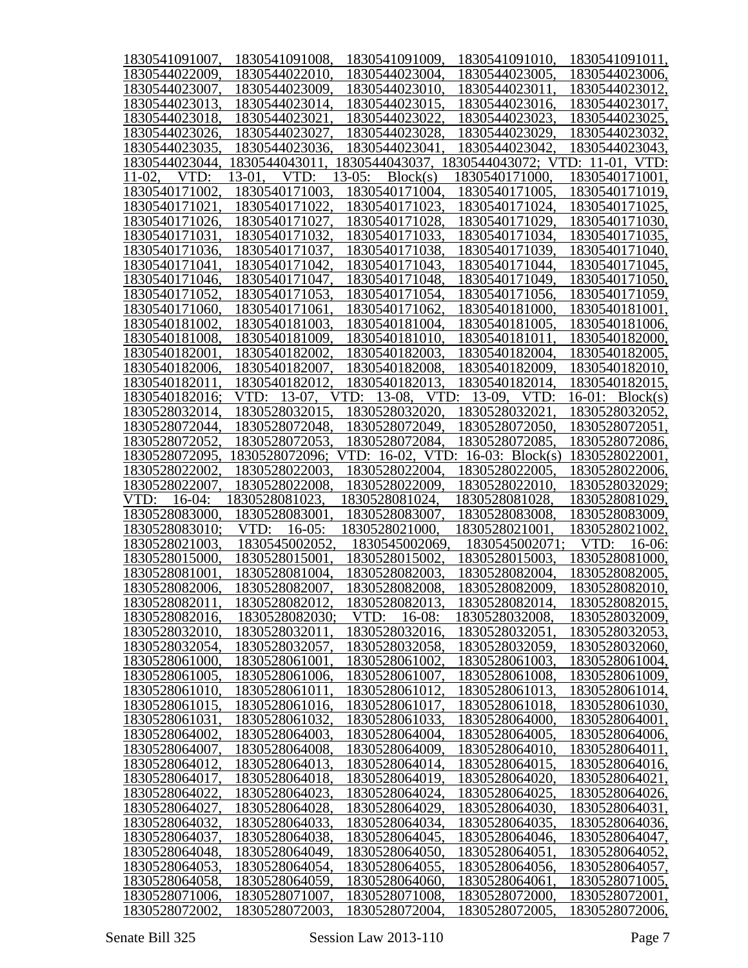| 1830541091007,                   | 1830541091008,                   | 1830541091009.                   | 1830541091010,                  | 1830541091011,                   |
|----------------------------------|----------------------------------|----------------------------------|---------------------------------|----------------------------------|
| 1830544022009.                   | 1830544022010.                   | 1830544023004,                   | 1830544023005,                  | 1830544023006,                   |
| 1830544023007,                   | 1830544023009.                   | 1830544023010.                   | 1830544023011.                  | 1830544023012,                   |
| 1830544023013.                   | 1830544023014,                   | 1830544023015.                   | 1830544023016,                  | 1830544023017,                   |
| 1830544023018.                   | 1830544023021                    | 1830544023022.                   | 1830544023023.                  | 1830544023025,                   |
| 1830544023026.                   | 1830544023027,                   | 1830544023028.                   | 1830544023029.                  | 1830544023032,                   |
| 1830544023035.                   | 1830544023036,                   | 1830544023041                    | 1830544023042.                  | 1830544023043,                   |
| 1830544023044,                   | 1830544043011                    | 1830544043037.                   | 1830544043072; VTD: 11-01, VTD: |                                  |
| VTD:<br>$11-02.$                 | 13-01.<br>VTD:                   | $13-05:$<br>Block(s)             | 1830540171000.                  | 1830540171001.                   |
| 1830540171002                    | 1830540171003.                   | 1830540171004.                   | 1830540171005.                  | 1830540171019,                   |
| 1830540171021                    | 1830540171022.                   | 1830540171023.                   | 1830540171024,                  | 1830540171025,                   |
| 1830540171026.                   | 1830540171027,                   | 1830540171028,                   | 1830540171029,                  | 1830540171030,                   |
| 1830540171031.                   | 1830540171032,                   | 1830540171033.                   | 1830540171034,                  | 1830540171035,                   |
| 1830540171036,                   | 1830540171037,                   | 1830540171038,                   | 1830540171039,                  | 1830540171040,                   |
| 1830540171041                    | 1830540171042,                   | 1830540171043.                   | 1830540171044,                  | 1830540171045,                   |
| 1830540171046.                   | 1830540171047.                   | 1830540171048.                   | 1830540171049.                  | 1830540171050,                   |
| 1830540171052.                   | 1830540171053,                   | 1830540171054,                   | 1830540171056.                  | 1830540171059,                   |
| 1830540171060.                   | 1830540171061.                   | 1830540171062,                   | 1830540181000.                  | 1830540181001,                   |
| 1830540181002.                   | 1830540181003.                   | 1830540181004,                   | 1830540181005.                  | 1830540181006,                   |
| 1830540181008.                   | 1830540181009.                   | 1830540181010.                   | 1830540181011.                  | 1830540182000,                   |
| 1830540182001                    | 1830540182002.                   | 1830540182003.                   | 1830540182004.                  | 1830540182005,                   |
|                                  |                                  |                                  |                                 |                                  |
| 1830540182006,                   | 1830540182007.                   | 1830540182008.                   | 1830540182009.                  | 1830540182010,                   |
| 1830540182011                    | 1830540182012.                   | 1830540182013.                   | 1830540182014,                  | 1830540182015,                   |
| 1830540182016;                   | VTD: 13-07.                      | VTD:<br>13-08.<br>VTD:           | $13-09$ ,<br>VTD:               | $16-01$ : Block(s)               |
| 1830528032014,                   | 1830528032015.                   | 1830528032020.                   | 1830528032021.                  | 1830528032052,                   |
| 1830528072044,                   | 1830528072048.                   | 1830528072049.                   | 1830528072050.                  | 1830528072051,                   |
| 1830528072052,                   | 1830528072053.                   | 1830528072084,                   | 1830528072085.                  | 1830528072086,                   |
| 1830528072095,                   | 1830528072096;                   | VTD: 16-02,<br>VTD:              | 16-03: Block(s)                 | 1830528022001,                   |
| 1830528022002,                   | 1830528022003.                   | 1830528022004.                   | 1830528022005.                  | 1830528022006,                   |
|                                  |                                  |                                  |                                 |                                  |
| 1830528022007.                   | 1830528022008.                   | 1830528022009,                   | 1830528022010.                  | 1830528032029;                   |
| $16-04:$<br>VTD:                 | 1830528081023.                   | 1830528081024,                   | 1830528081028,                  | 1830528081029,                   |
| 1830528083000                    | 1830528083001                    | 1830528083007.                   | 1830528083008.                  | 1830528083009,                   |
| 1830528083010;                   | VTD:<br>$16-05$ :                | 1830528021000.                   | 1830528021001                   | 1830528021002,                   |
| 1830528021003,                   | 1830545002052.                   | 1830545002069,                   | 1830545002071;                  | VTD:<br>16-06:                   |
| 1830528015000.                   | 1830528015001                    | 1830528015002.                   | 1830528015003,                  | 1830528081000,                   |
| 1830528081001.                   | 1830528081004,                   | 1830528082003,                   | 1830528082004,                  | 1830528082005,                   |
| 1830528082006.                   | 1830528082007.                   | 1830528082008.                   | 1830528082009.                  | 1830528082010,                   |
| 1830528082011,                   | 1830528082012,                   | 1830528082013,                   | 1830528082014,                  | 1830528082015,                   |
| 1830528082016,                   | 1830528082030;                   | $16-08:$<br>VTD:                 | 1830528032008,                  | 1830528032009,                   |
| 1830528032010,                   | 1830528032011                    | 1830528032016,                   | 1830528032051                   | 1830528032053,                   |
| 1830528032054,                   | 1830528032057,                   | 1830528032058,                   | 1830528032059,                  | 1830528032060,                   |
| 1830528061000.                   | 1830528061001                    | 1830528061002.                   | 1830528061003.                  | 1830528061004,                   |
| 1830528061005.                   | 1830528061006.                   | 1830528061007.                   | 1830528061008.                  | 1830528061009,                   |
| 1830528061010.                   | 1830528061011                    | 1830528061012.                   | 1830528061013.                  | 1830528061014,                   |
| 1830528061015,                   | 1830528061016,                   | 1830528061017.                   | 1830528061018.                  | 1830528061030,                   |
| 1830528061031                    | 1830528061032,                   | 1830528061033,                   | 1830528064000.                  | 1830528064001,                   |
| 1830528064002.                   | 1830528064003.                   | 1830528064004,                   | 1830528064005.                  | 1830528064006,                   |
| 1830528064007.                   | 1830528064008,                   | 1830528064009.                   | 1830528064010                   | 1830528064011,                   |
| 1830528064012.                   | 1830528064013.                   | 1830528064014,                   | 1830528064015                   | 1830528064016,                   |
| 1830528064017,                   | 1830528064018,                   | 1830528064019,                   | 1830528064020.                  | 1830528064021,                   |
| 1830528064022.                   | 1830528064023.                   | 1830528064024,                   | 1830528064025.                  | 1830528064026,                   |
| 1830528064027.                   | 1830528064028,                   | 1830528064029,                   | 1830528064030.                  | 1830528064031,                   |
| 1830528064032                    | 1830528064033.                   | 1830528064034,                   | 1830528064035.                  | 1830528064036,                   |
| 1830528064037                    | 1830528064038,                   | 1830528064045.                   | 1830528064046.                  | 1830528064047,                   |
| 1830528064048,                   | 1830528064049.                   | 1830528064050.                   | 1830528064051                   |                                  |
| 1830528064053,                   | 1830528064054,                   | 1830528064055,                   | 1830528064056.                  | 1830528064052,<br>1830528064057, |
|                                  |                                  |                                  |                                 |                                  |
| 1830528064058,<br>1830528071006, | 1830528064059,<br>1830528071007, | 1830528064060,<br>1830528071008, | 1830528064061<br>1830528072000. | 1830528071005,<br>1830528072001, |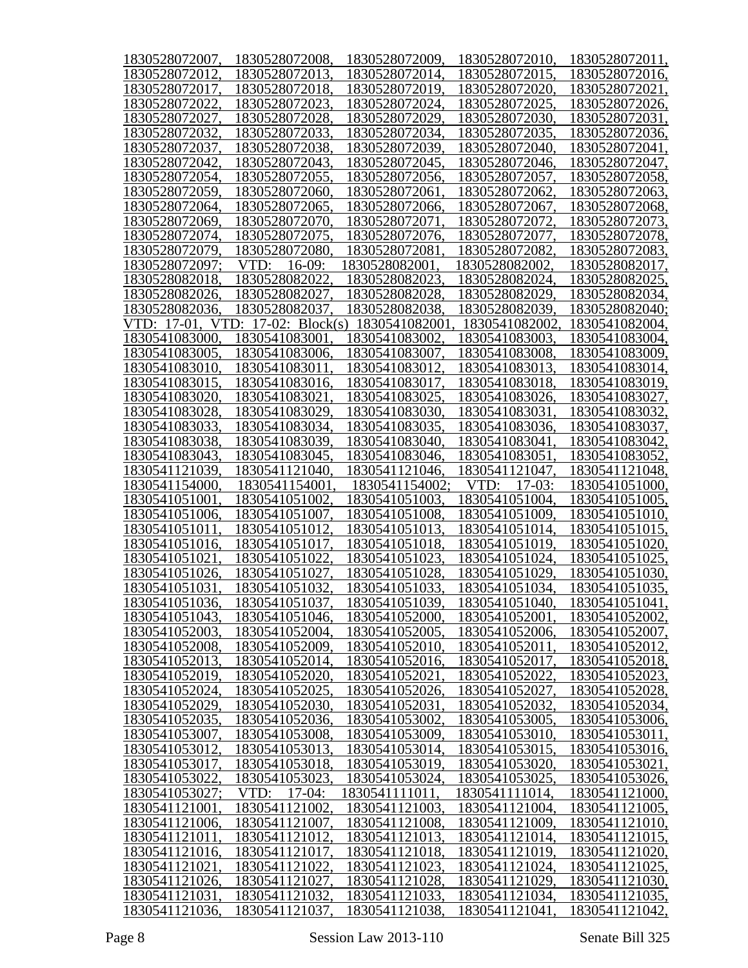| 1830528072007, | 1830528072008,            | 1830528072009, | 1830528072010,   | 1830528072011, |
|----------------|---------------------------|----------------|------------------|----------------|
| 1830528072012. | 1830528072013.            | 1830528072014, | 1830528072015.   | 1830528072016. |
| 1830528072017, | 1830528072018.            | 1830528072019, | 1830528072020.   | 1830528072021. |
| 1830528072022. | 1830528072023.            | 1830528072024. | 1830528072025.   | 1830528072026, |
| 1830528072027. | 1830528072028.            | 1830528072029, | 1830528072030.   | 1830528072031. |
| 1830528072032. | 1830528072033.            | 1830528072034. | 1830528072035.   | 1830528072036, |
| 1830528072037, | 1830528072038,            | 1830528072039, | 1830528072040.   | 1830528072041, |
| 1830528072042. | 1830528072043,            | 1830528072045. | 1830528072046.   | 1830528072047, |
| 1830528072054, | 1830528072055,            | 1830528072056. | 1830528072057.   | 1830528072058, |
| 1830528072059, | 1830528072060.            | 1830528072061  | 1830528072062    | 1830528072063, |
| 1830528072064, | 1830528072065.            | 1830528072066. | 1830528072067.   | 1830528072068, |
| 1830528072069, | 1830528072070.            | 1830528072071  | 1830528072072    | 1830528072073, |
| 1830528072074, | 1830528072075.            | 1830528072076. | 1830528072077.   | 1830528072078, |
| 1830528072079, | 1830528072080.            | 1830528072081  | 1830528072082.   | 1830528072083, |
| 1830528072097; | $16-09:$<br>VTD:          | 1830528082001  | 1830528082002.   | 1830528082017, |
| 1830528082018, | 1830528082022             | 1830528082023. | 1830528082024.   | 1830528082025, |
| 1830528082026. | 1830528082027.            | 1830528082028. | 1830528082029.   | 1830528082034, |
| 1830528082036. | 1830528082037.            | 1830528082038. | 1830528082039.   | 1830528082040; |
| VTD: 17-01,    | VTD:<br>17-02: $Block(s)$ | 1830541082001  | 1830541082002    | 1830541082004, |
| 1830541083000. | 1830541083001             | 1830541083002  | 1830541083003.   | 1830541083004, |
| 1830541083005, | 1830541083006.            | 1830541083007. | 1830541083008.   | 1830541083009, |
| 1830541083010. | 1830541083011.            | 1830541083012. | 1830541083013.   | 1830541083014, |
| 1830541083015. | 1830541083016.            | 1830541083017. | 1830541083018.   | 1830541083019, |
| 1830541083020. | 1830541083021             | 1830541083025. | 1830541083026.   | 1830541083027, |
| 1830541083028, | 1830541083029.            | 1830541083030. | 1830541083031    | 1830541083032, |
| 1830541083033, | 1830541083034,            | 1830541083035. | 1830541083036.   | 1830541083037, |
| 1830541083038, | 1830541083039,            | 1830541083040. | 1830541083041    | 1830541083042, |
| 1830541083043, | 1830541083045,            | 1830541083046. | 1830541083051    | 1830541083052, |
| 1830541121039, | 1830541121040.            | 1830541121046. | 1830541121047.   | 1830541121048, |
| 1830541154000. | 1830541154001             | 1830541154002; | VTD:<br>$17-03:$ | 1830541051000, |
| 1830541051001. | 1830541051002             | 1830541051003. | 1830541051004.   | 1830541051005, |
| 1830541051006. | 1830541051007.            | 1830541051008. | 1830541051009.   | 1830541051010, |
| 1830541051011  | 1830541051012             | 1830541051013. | 1830541051014.   | 1830541051015, |
| 1830541051016. | 1830541051017.            | 1830541051018. | 1830541051019.   | 1830541051020, |
| 1830541051021  | 1830541051022.            | 1830541051023. | 1830541051024.   | 1830541051025, |
| 1830541051026, | 1830541051027.            | 1830541051028. | 1830541051029.   | 1830541051030, |
| 1830541051031  | 1830541051032             | 1830541051033. | 1830541051034    | 1830541051035, |
| 1830541051036, | 1830541051037,            | 1830541051039, | 1830541051040.   | 1830541051041, |
| 1830541051043, | 1830541051046,            | 1830541052000, | 1830541052001.   | 1830541052002, |
| 1830541052003. | 1830541052004,            | 1830541052005, | 1830541052006,   | 1830541052007, |
| 1830541052008, | 1830541052009,            | 1830541052010, | 1830541052011    | 1830541052012, |
| 1830541052013. | 1830541052014,            | 1830541052016, | 1830541052017.   | 1830541052018, |
| 1830541052019, | 1830541052020.            | 1830541052021  | 1830541052022    | 1830541052023, |
| 1830541052024, | 1830541052025,            | 1830541052026, | 1830541052027.   | 1830541052028, |
| 1830541052029, | 1830541052030.            | 1830541052031. | 1830541052032    | 1830541052034, |
| 1830541052035, | 1830541052036,            | 1830541053002. | 1830541053005.   | 1830541053006, |
| 1830541053007. | 1830541053008.            | 1830541053009, | 1830541053010.   | 1830541053011, |
| 1830541053012, | 1830541053013,            | 1830541053014, | 1830541053015.   | 1830541053016, |
| 1830541053017, | 1830541053018,            | 1830541053019, | 1830541053020.   | 1830541053021, |
| 1830541053022, | 1830541053023,            | 1830541053024, | 1830541053025.   | 1830541053026, |
| 1830541053027; | $17-04:$<br>VTD:          | 1830541111011  | 1830541111014.   | 1830541121000, |
| 1830541121001, | 1830541121002             | 1830541121003, | 1830541121004.   | 1830541121005, |
| 1830541121006, | 1830541121007.            | 1830541121008, | 1830541121009.   | 1830541121010, |
| 1830541121011, | 1830541121012.            | 1830541121013, | 1830541121014,   | 1830541121015, |
| 1830541121016, | 1830541121017,            | 1830541121018, | 1830541121019.   | 1830541121020, |
| 1830541121021, | 1830541121022.            | 1830541121023, | 1830541121024.   | 1830541121025, |
| 1830541121026, | 1830541121027.            | 1830541121028, | 1830541121029,   | 1830541121030, |
| 1830541121031, | 1830541121032,            | 1830541121033, | 1830541121034,   | 1830541121035, |
| 1830541121036, | 1830541121037,            | 1830541121038, | 1830541121041,   | 1830541121042, |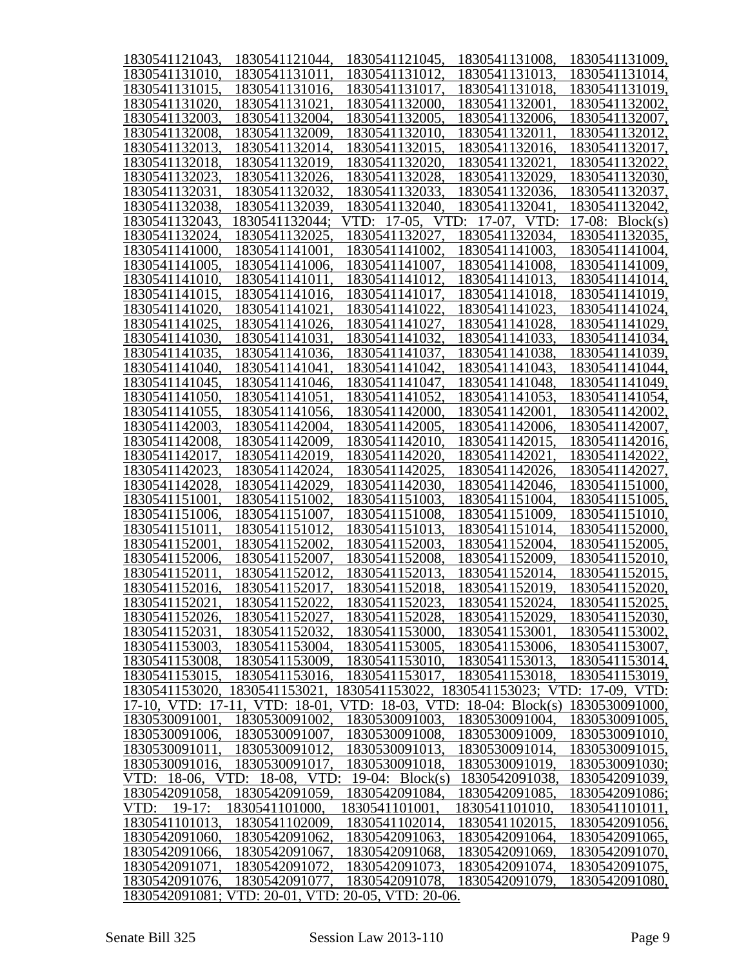| 1830541121043,   | 1830541121044,                 | 1830541121045,                                     | 1830541131008,   | 1830541131009,    |
|------------------|--------------------------------|----------------------------------------------------|------------------|-------------------|
| 1830541131010.   | 1830541131011.                 | 1830541131012.                                     | 1830541131013.   | 1830541131014,    |
| 1830541131015.   | 1830541131016.                 | 1830541131017.                                     | 1830541131018.   | 1830541131019,    |
| 1830541131020.   | 1830541131021.                 | 1830541132000.                                     | 1830541132001.   | 1830541132002,    |
| 1830541132003.   | 1830541132004.                 | 1830541132005.                                     | 1830541132006.   | 1830541132007,    |
| 1830541132008,   | 1830541132009.                 | 1830541132010.                                     | 1830541132011.   | 1830541132012,    |
| 1830541132013.   | 1830541132014.                 | 1830541132015,                                     | 1830541132016,   | 1830541132017,    |
| 1830541132018,   | 1830541132019.                 | 1830541132020.                                     | 1830541132021.   | 1830541132022,    |
| 1830541132023.   | 1830541132026,                 | 1830541132028.                                     | 1830541132029,   | 1830541132030,    |
| 1830541132031.   | 1830541132032.                 | 1830541132033.                                     | 1830541132036.   | 1830541132037,    |
| 1830541132038,   | 1830541132039.                 | 1830541132040.                                     | 1830541132041    | 1830541132042,    |
| 1830541132043,   | 1830541132044;                 | VTD: 17-05,                                        | VTD: 17-07. VTD: | 17-08: $Block(s)$ |
| 1830541132024,   | 1830541132025.                 | 1830541132027.                                     | 1830541132034,   | 1830541132035,    |
| 1830541141000.   | 1830541141001.                 | 1830541141002.                                     | 1830541141003.   | 1830541141004,    |
| 1830541141005,   | 1830541141006.                 | 1830541141007.                                     | 1830541141008,   | 1830541141009,    |
| 1830541141010.   | 1830541141011.                 | 1830541141012,                                     | 1830541141013,   | 1830541141014,    |
| 1830541141015.   | 1830541141016.                 | 1830541141017,                                     | 1830541141018,   | 1830541141019,    |
| 1830541141020.   | 1830541141021.                 | 1830541141022,                                     | 1830541141023,   | 1830541141024,    |
| 1830541141025.   | 1830541141026.                 | 1830541141027,                                     | 1830541141028,   | 1830541141029,    |
| 1830541141030.   | 1830541141031.                 | 1830541141032.                                     | 1830541141033,   | 1830541141034,    |
| 1830541141035.   | 1830541141036.                 | 1830541141037,                                     | 1830541141038,   | 1830541141039,    |
| 1830541141040.   | 1830541141041.                 | 1830541141042.                                     | 1830541141043,   | 1830541141044,    |
| 1830541141045.   | 1830541141046.                 | 1830541141047.                                     | 1830541141048,   | 1830541141049,    |
| 1830541141050.   | 1830541141051.                 | 1830541141052.                                     | 1830541141053.   | 1830541141054,    |
| 1830541141055.   | 1830541141056.                 | 1830541142000.                                     | 1830541142001.   | 1830541142002,    |
| 1830541142003.   | 1830541142004,                 | 1830541142005.                                     | 1830541142006.   | 1830541142007,    |
| 1830541142008,   | 1830541142009.                 | 1830541142010.                                     | 1830541142015.   | 1830541142016,    |
| 1830541142017,   | 1830541142019.                 | 1830541142020.                                     | 1830541142021.   | 1830541142022,    |
| 1830541142023,   | 1830541142024.                 | 1830541142025.                                     | 1830541142026.   | 1830541142027,    |
| 1830541142028.   | 1830541142029.                 | 1830541142030.                                     | 1830541142046.   | 1830541151000,    |
| 1830541151001.   | 1830541151002.                 | 1830541151003.                                     | 1830541151004.   | 1830541151005,    |
| 1830541151006.   | 1830541151007.                 | 1830541151008.                                     | 1830541151009,   | 1830541151010,    |
| 1830541151011.   | 1830541151012.                 | 1830541151013.                                     | 1830541151014,   | 1830541152000,    |
| 1830541152001.   | 1830541152002.                 | 1830541152003.                                     | 1830541152004.   | 1830541152005,    |
| 1830541152006.   | 1830541152007.                 | 1830541152008.                                     | 1830541152009,   | 1830541152010,    |
| 1830541152011,   | 1830541152012.                 | 1830541152013,                                     | 1830541152014,   | 1830541152015,    |
| 1830541152016.   | 1830541152017.                 | 1830541152018.                                     | 1830541152019.   | 1830541152020,    |
| 1830541152021,   | 1830541152022,                 | 1830541152023,                                     | 1830541152024,   | 1830541152025,    |
| 1830541152026,   | 1830541152027,                 | 1830541152028,                                     | 1830541152029,   | 1830541152030,    |
| 1830541152031,   | 1830541152032.                 | 1830541153000,                                     | 1830541153001.   | 1830541153002,    |
| 1830541153003.   | 1830541153004,                 | 1830541153005,                                     | 1830541153006,   | 1830541153007,    |
| 1830541153008.   | 1830541153009,                 | 1830541153010.                                     | 1830541153013.   | 1830541153014,    |
| 1830541153015,   | 1830541153016,                 | 1830541153017,                                     | 1830541153018,   | 1830541153019,    |
| 1830541153020.   | 1830541153021,                 | 1830541153022, 1830541153023; VTD: 17-09, VTD:     |                  |                   |
|                  | 17-10, VTD: 17-11, VTD: 18-01. | VTD: 18-03, VTD: 18-04: Block(s)                   |                  | 1830530091000.    |
| 1830530091001.   | 1830530091002.                 | 1830530091003,                                     | 1830530091004,   | 1830530091005,    |
| 1830530091006,   | 1830530091007,                 | 1830530091008,                                     | 1830530091009,   | 1830530091010,    |
| 1830530091011,   | 1830530091012.                 | 1830530091013,                                     | 1830530091014,   | 1830530091015,    |
| 1830530091016,   | 1830530091017.                 | 1830530091018,                                     | 1830530091019.   | 1830530091030;    |
| VTD: 18-06.      | VTD: 18-08, VTD:               | 19-04: $Block(s)$                                  | 1830542091038.   | 1830542091039,    |
| 1830542091058,   | 1830542091059,                 | 1830542091084,                                     | 1830542091085.   | 1830542091086;    |
| VTD:<br>$19-17:$ | 1830541101000.                 | 1830541101001,                                     | 1830541101010.   | 1830541101011,    |
| 1830541101013,   | 1830541102009.                 | 1830541102014,                                     | 1830541102015.   | 1830542091056,    |
| 1830542091060,   | 1830542091062.                 | 1830542091063,                                     | 1830542091064,   | 1830542091065,    |
| 1830542091066,   | 1830542091067,                 | 1830542091068,                                     | 1830542091069,   | 1830542091070,    |
| 1830542091071,   | 1830542091072.                 | 1830542091073,                                     | 1830542091074,   | 1830542091075,    |
| 1830542091076,   | 1830542091077,                 | 1830542091078,                                     | 1830542091079.   | 1830542091080,    |
|                  |                                | 1830542091081; VTD: 20-01, VTD: 20-05, VTD: 20-06. |                  |                   |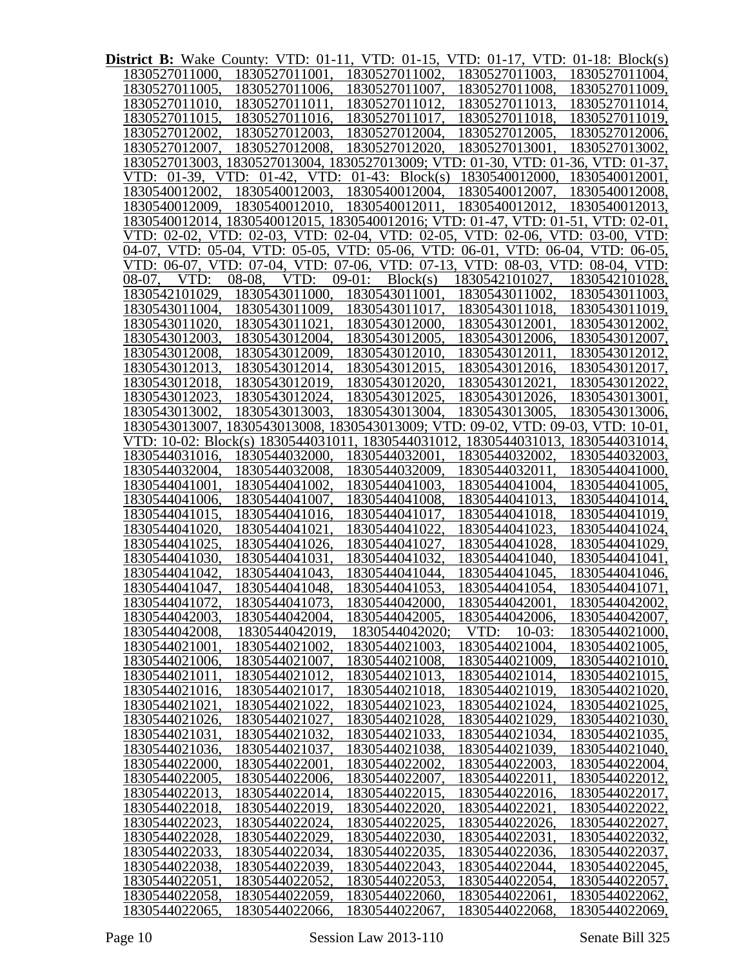| District B: Wake County: VTD: 01-11, VTD: 01-15, VTD: 01-17, VTD: 01-18: Block(s) |                                                                                  |                 |                         |                |
|-----------------------------------------------------------------------------------|----------------------------------------------------------------------------------|-----------------|-------------------------|----------------|
| 1830527011000.                                                                    | 1830527011001,                                                                   | 1830527011002.  | 1830527011003,          | 1830527011004, |
| 1830527011005,                                                                    | 1830527011006,                                                                   | 1830527011007,  | 1830527011008,          | 1830527011009. |
| 1830527011010,                                                                    | 1830527011011,                                                                   | 1830527011012,  | 1830527011013,          | 1830527011014, |
| 1830527011015,                                                                    | 1830527011016,                                                                   | 1830527011017,  | 1830527011018,          | 1830527011019, |
| 1830527012002,                                                                    | 1830527012003,                                                                   | 1830527012004,  | 1830527012005,          | 1830527012006, |
| 1830527012007,                                                                    | 1830527012008,                                                                   | 1830527012020,  | 1830527013001,          | 1830527013002, |
|                                                                                   | 1830527013003, 1830527013004, 1830527013009; VTD: 01-30, VTD: 01-36, VTD: 01-37, |                 |                         |                |
| $01-39$ , VTD:<br>VTD:                                                            | $01-42$ ,<br>VTD:                                                                | 01-43: Block(s) | 1830540012000,          | 1830540012001, |
| 1830540012002,                                                                    | 1830540012003, 1830540012004,                                                    |                 | 1830540012007,          | 1830540012008, |
| 1830540012009,                                                                    | 1830540012010, 1830540012011,                                                    |                 | 1830540012012,          | 1830540012013, |
|                                                                                   | 1830540012014, 1830540012015, 1830540012016; VTD: 01-47, VTD: 01-51, VTD: 02-01, |                 |                         |                |
|                                                                                   | VTD: 02-02, VTD: 02-03, VTD: 02-04, VTD: 02-05, VTD: 02-06, VTD: 03-00, VTD:     |                 |                         |                |
|                                                                                   | 04-07, VTD: 05-04, VTD: 05-05, VTD: 05-06, VTD: 06-01, VTD: 06-04, VTD: 06-05,   |                 |                         |                |
|                                                                                   | VTD: 06-07, VTD: 07-04, VTD: 07-06, VTD: 07-13, VTD: 08-03, VTD: 08-04, VTD:     |                 |                         |                |
| VTD:<br>08-07.                                                                    | 08-08.<br>VTD:                                                                   | $09-01:$        | Block(s) 1830542101027, | 1830542101028, |
| 1830542101029,                                                                    | 1830543011000, 1830543011001,                                                    |                 | 1830543011002,          | 1830543011003, |
| 1830543011004.                                                                    | 1830543011009,                                                                   | 1830543011017,  | 1830543011018,          | 1830543011019, |
| 1830543011020.                                                                    | 1830543011021,                                                                   | 1830543012000,  | 1830543012001,          | 1830543012002, |
| 1830543012003,                                                                    | 1830543012004,                                                                   | 1830543012005,  | 1830543012006,          | 1830543012007, |
| 1830543012008.                                                                    | 1830543012009,                                                                   | 1830543012010,  | 1830543012011,          | 1830543012012, |
| 1830543012013,                                                                    | 1830543012014,                                                                   | 1830543012015,  | 1830543012016,          | 1830543012017, |
| 1830543012018,                                                                    | 1830543012019,                                                                   | 1830543012020,  | 1830543012021,          | 1830543012022, |
|                                                                                   | 1830543012023, 1830543012024,                                                    | 1830543012025,  | 1830543012026,          | 1830543013001, |
| 1830543013002,                                                                    | 1830543013003,                                                                   | 1830543013004,  | 1830543013005,          | 1830543013006, |
|                                                                                   | 1830543013007, 1830543013008, 1830543013009; VTD: 09-02, VTD: 09-03, VTD: 10-01, |                 |                         |                |
|                                                                                   | VTD: 10-02: Block(s) 1830544031011, 1830544031012, 1830544031013, 1830544031014, |                 |                         |                |
| 1830544031016,                                                                    | 1830544032000.                                                                   | 1830544032001,  | 1830544032002,          | 1830544032003, |
| 1830544032004.                                                                    | 1830544032008,                                                                   | 1830544032009,  | 1830544032011,          | 1830544041000, |
| 1830544041001.                                                                    | 1830544041002,                                                                   | 1830544041003,  | 1830544041004,          | 1830544041005, |
| 1830544041006,                                                                    | 1830544041007.                                                                   | 1830544041008,  | 1830544041013,          | 1830544041014, |
| 1830544041015,                                                                    | 1830544041016,                                                                   | 1830544041017,  | 1830544041018,          | 1830544041019, |
| 1830544041020,                                                                    | 1830544041021.                                                                   | 1830544041022,  | 1830544041023,          | 1830544041024, |
| 1830544041025,                                                                    | 1830544041026,                                                                   | 1830544041027,  | 1830544041028,          | 1830544041029, |
| 1830544041030,                                                                    | 1830544041031,                                                                   | 1830544041032,  | 1830544041040,          | 1830544041041, |
| 1830544041042,                                                                    | 1830544041043,                                                                   | 1830544041044.  | 1830544041045,          | 1830544041046, |
| 1830544041047.                                                                    | 1830544041048,                                                                   | 1830544041053,  | 1830544041054,          | 1830544041071, |
| 1830544041072.                                                                    | 1830544041073,                                                                   | 1830544042000,  | 1830544042001           | 1830544042002, |
| 1830544042003.                                                                    | 1830544042004.                                                                   | 1830544042005.  | 1830544042006.          | 1830544042007, |
| 1830544042008.                                                                    | 1830544042019,                                                                   | 1830544042020:  | $10-03:$<br>VTD:        | 1830544021000, |
| 1830544021001                                                                     | 1830544021002.                                                                   | 1830544021003,  | 1830544021004.          | 1830544021005, |
| 1830544021006.                                                                    | 1830544021007.                                                                   | 1830544021008.  | 1830544021009.          | 1830544021010, |
| 1830544021011                                                                     | 1830544021012.                                                                   | 1830544021013,  | 1830544021014.          | 1830544021015, |
| 1830544021016.                                                                    | 1830544021017.                                                                   | 1830544021018.  | 1830544021019.          | 1830544021020, |
| 1830544021021                                                                     | 1830544021022                                                                    | 1830544021023.  | 1830544021024.          | 1830544021025, |
| 1830544021026.                                                                    | 1830544021027.                                                                   | 1830544021028.  | 1830544021029.          | 1830544021030, |
| 1830544021031                                                                     | 1830544021032.                                                                   | 1830544021033.  | 1830544021034.          | 1830544021035, |
| 1830544021036.                                                                    | 1830544021037.                                                                   | 1830544021038.  | 1830544021039.          | 1830544021040, |
| 1830544022000.                                                                    | 1830544022001                                                                    | 1830544022002.  | 1830544022003.          | 1830544022004, |
| 1830544022005.                                                                    | 1830544022006.                                                                   | 1830544022007.  | 1830544022011           | 1830544022012, |
| 1830544022013.                                                                    | 1830544022014.                                                                   | 1830544022015,  | 1830544022016.          | 1830544022017, |
| 1830544022018.                                                                    | 1830544022019.                                                                   | 1830544022020.  | 1830544022021           | 1830544022022, |
| 1830544022023.                                                                    | 1830544022024.                                                                   | 1830544022025.  | 1830544022026.          | 1830544022027, |
| 1830544022028.                                                                    | 1830544022029.                                                                   | 1830544022030.  | 1830544022031           | 1830544022032, |
| 1830544022033.                                                                    | 1830544022034.                                                                   | 1830544022035,  | 1830544022036.          | 1830544022037, |
| 1830544022038.                                                                    | 1830544022039.                                                                   | 1830544022043.  | 1830544022044.          | 1830544022045, |
| 1830544022051                                                                     | 1830544022052.                                                                   | 1830544022053,  | 1830544022054.          | 1830544022057, |
| 1830544022058.                                                                    | 1830544022059,                                                                   | 1830544022060,  | 1830544022061           | 1830544022062, |
| 1830544022065,                                                                    | 1830544022066.                                                                   | 1830544022067.  | 1830544022068.          | 1830544022069, |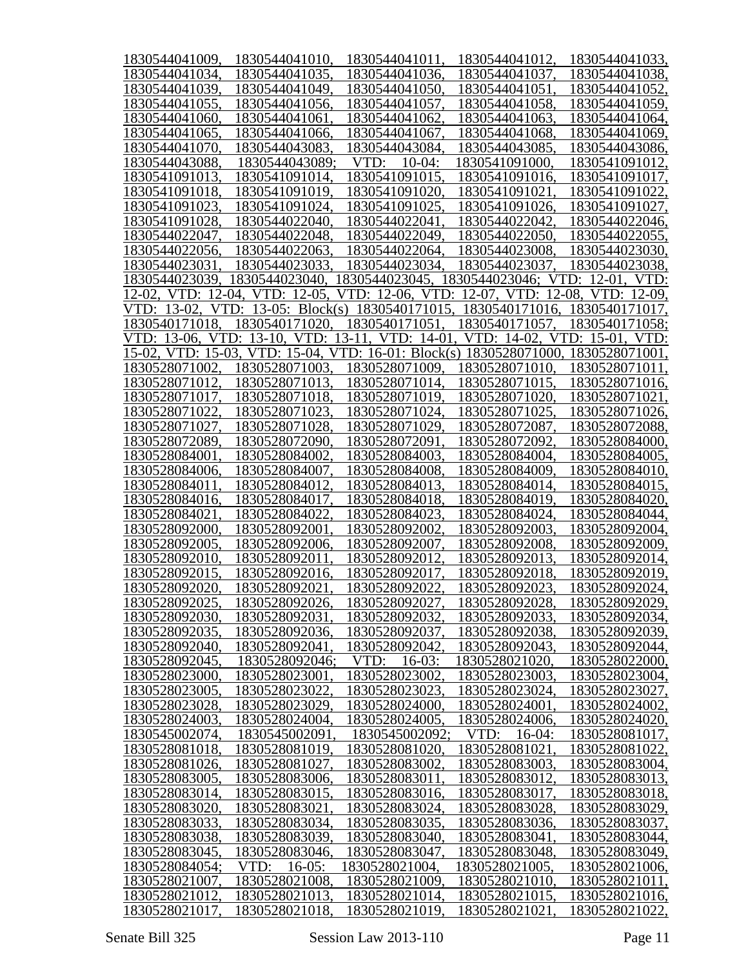| 1830544041009,    | 1830544041010.          | 1830544041011,                                                                 | 1830544041012,   | 1830544041033,               |
|-------------------|-------------------------|--------------------------------------------------------------------------------|------------------|------------------------------|
| 1830544041034,    | 1830544041035,          | 1830544041036.                                                                 | 1830544041037,   | 1830544041038,               |
| 1830544041039.    | 1830544041049.          | 1830544041050.                                                                 | 1830544041051.   | 1830544041052,               |
| 1830544041055.    | 1830544041056.          | 1830544041057.                                                                 | 1830544041058,   | 1830544041059,               |
| 1830544041060.    | 1830544041061           | 1830544041062.                                                                 | 1830544041063.   | 1830544041064,               |
| 1830544041065     | 1830544041066.          | 1830544041067.                                                                 | 1830544041068.   | 1830544041069,               |
| 1830544041070     | 1830544043083.          | 1830544043084,                                                                 | 1830544043085.   | 1830544043086,               |
| 1830544043088.    | 1830544043089;          | VTD:<br>$10-04:$                                                               | 1830541091000.   | 1830541091012,               |
| 1830541091013.    | 1830541091014,          | 1830541091015.                                                                 | 1830541091016.   | 1830541091017,               |
| 1830541091018.    | 1830541091019.          | 1830541091020.                                                                 | 1830541091021.   | 1830541091022,               |
| 1830541091023.    | 1830541091024,          | 1830541091025.                                                                 | 1830541091026,   | 1830541091027,               |
| 1830541091028.    | 1830544022040,          | 1830544022041.                                                                 | 1830544022042,   | 1830544022046,               |
| 1830544022047,    | 1830544022048,          | 1830544022049,                                                                 | 1830544022050,   | 1830544022055,               |
| 1830544022056,    | 1830544022063,          | 1830544022064,                                                                 | 1830544023008,   | 1830544023030,               |
| 1830544023031,    | 1830544023033,          | 1830544023034.                                                                 | 1830544023037,   | 1830544023038,               |
| 1830544023039,    | 1830544023040,          | 1830544023045, 1830544023046; VTD: 12-01, VTD:                                 |                  |                              |
|                   |                         | 12-02, VTD: 12-04, VTD: 12-05, VTD: 12-06, VTD: 12-07, VTD: 12-08, VTD: 12-09, |                  |                              |
| $13-02$ .<br>VTD: | VTD:<br>13-05: Block(s) | 1830540171015,                                                                 | 1830540171016.   | 1830540171017,               |
| 1830540171018.    | 1830540171020.          | 1830540171051,                                                                 | 1830540171057,   | 1830540171058;               |
|                   |                         | VTD: 13-06, VTD: 13-10, VTD: 13-11, VTD: 14-01.                                |                  | VTD: 14-02, VTD: 15-01, VTD: |
|                   |                         | 15-02, VTD: 15-03, VTD: 15-04, VTD: 16-01: Block(s) 1830528071000.             |                  | 1830528071001.               |
| 1830528071002,    | 1830528071003,          | 1830528071009.                                                                 | 1830528071010.   | 1830528071011.               |
| 1830528071012,    | 1830528071013,          | 1830528071014,                                                                 | 1830528071015.   | 1830528071016,               |
| 1830528071017,    | 1830528071018,          | 1830528071019,                                                                 | 1830528071020,   | 1830528071021.               |
| 1830528071022,    | 1830528071023,          | 1830528071024,                                                                 | 1830528071025,   | 1830528071026,               |
| 1830528071027,    | 1830528071028.          | 1830528071029.                                                                 | 1830528072087.   | 1830528072088,               |
| 1830528072089.    | 1830528072090.          | 1830528072091                                                                  | 1830528072092.   | 1830528084000.               |
| 1830528084001     | 1830528084002.          | 1830528084003.                                                                 | 1830528084004,   | 1830528084005,               |
| 1830528084006.    | 1830528084007.          | 1830528084008.                                                                 | 1830528084009.   | 1830528084010,               |
| 1830528084011     | 1830528084012.          | 1830528084013.                                                                 | 1830528084014,   | 1830528084015,               |
| 1830528084016.    | 1830528084017.          | 1830528084018.                                                                 | 1830528084019.   | 1830528084020,               |
| 1830528084021     | 1830528084022.          | 1830528084023.                                                                 | 1830528084024.   | 1830528084044,               |
| 1830528092000     | 1830528092001           | 1830528092002.                                                                 | 1830528092003.   | 1830528092004,               |
| 1830528092005.    | 1830528092006.          | 1830528092007.                                                                 | 1830528092008.   | 1830528092009,               |
| 1830528092010.    | 1830528092011.          | 1830528092012,                                                                 | 1830528092013.   | 1830528092014,               |
| 1830528092015.    | 1830528092016,          | 1830528092017,                                                                 | 1830528092018.   | 1830528092019,               |
| 1830528092020.    | 1830528092021.          | 1830528092022.                                                                 | 1830528092023    | 1830528092024,               |
| 1830528092025,    | 1830528092026,          | 1830528092027,                                                                 | 1830528092028,   | 1830528092029,               |
| 1830528092030,    | 1830528092031.          | 1830528092032.                                                                 | 1830528092033,   | 1830528092034,               |
| 1830528092035,    | 1830528092036,          | 1830528092037,                                                                 | 1830528092038,   | 1830528092039,               |
| 1830528092040,    | 1830528092041           | 1830528092042,                                                                 | 1830528092043,   | 1830528092044,               |
| 1830528092045,    | 1830528092046;          | VTD:<br>$16-03:$                                                               | 1830528021020.   | 1830528022000,               |
| 1830528023000.    | 1830528023001           | 1830528023002                                                                  | 1830528023003.   | 1830528023004,               |
| 1830528023005,    | 1830528023022.          | 1830528023023.                                                                 | 1830528023024,   | 1830528023027,               |
| 1830528023028,    | 1830528023029,          | 1830528024000.                                                                 | 1830528024001    | 1830528024002,               |
| 1830528024003,    | 1830528024004,          | 1830528024005.                                                                 | 1830528024006,   | 1830528024020,               |
| 1830545002074,    | 1830545002091           | 1830545002092;                                                                 | VTD:<br>$16-04:$ | 1830528081017,               |
| 1830528081018,    | 1830528081019.          | 1830528081020.                                                                 | 1830528081021    | 1830528081022,               |
| 1830528081026,    | 1830528081027.          | 1830528083002.                                                                 | 1830528083003,   | 1830528083004,               |
| 1830528083005,    | 1830528083006,          | 1830528083011                                                                  | 1830528083012.   | 1830528083013,               |
| 1830528083014,    | 1830528083015,          | 1830528083016,                                                                 | 1830528083017,   | 1830528083018,               |
| 1830528083020.    | 1830528083021           | 1830528083024,                                                                 | 1830528083028,   | 1830528083029,               |
| 1830528083033,    | 1830528083034,          | 1830528083035,                                                                 | 1830528083036.   | 1830528083037,               |
| 1830528083038,    | 1830528083039.          | 1830528083040.                                                                 | 1830528083041    | 1830528083044,               |
| 1830528083045,    | 1830528083046,          | 1830528083047,                                                                 | 1830528083048.   | 1830528083049,               |
| 1830528084054;    | $16-05:$<br>VTD:        | 1830528021004,                                                                 | 1830528021005,   | 1830528021006,               |
| 1830528021007,    | 1830528021008,          | 1830528021009,                                                                 | 1830528021010.   | 1830528021011,               |
| 1830528021012,    | 1830528021013,          | 1830528021014,                                                                 | 1830528021015,   | 1830528021016,               |
| 1830528021017     | 1830528021018,          | 1830528021019,                                                                 | 1830528021021    | 1830528021022,               |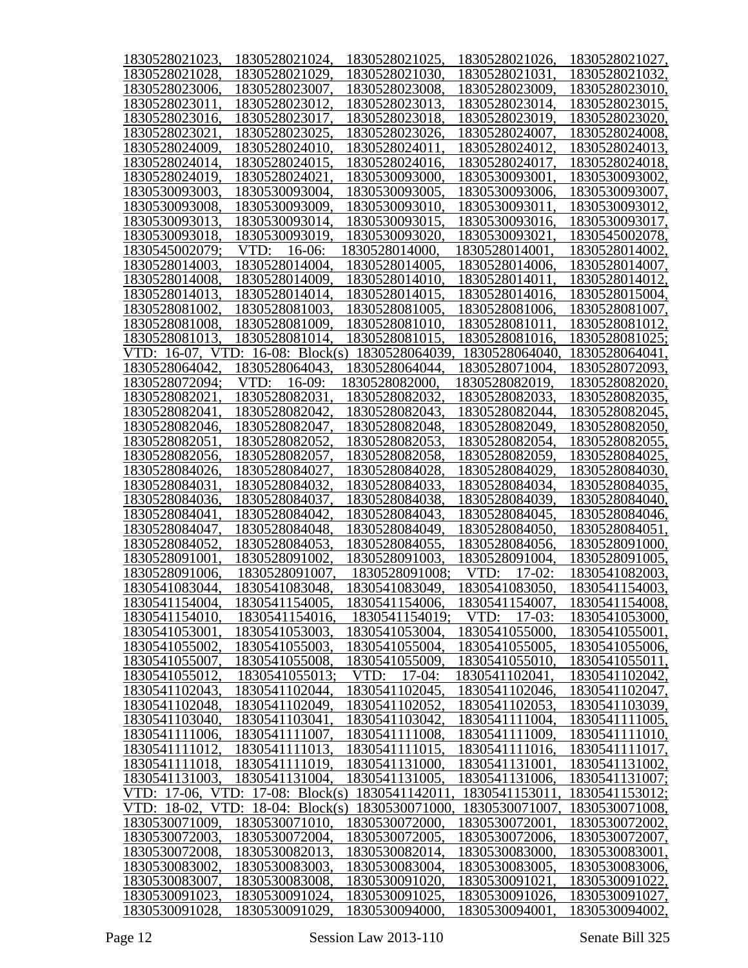| 1830528021023.      | 1830528021024,                   | 1830528021025,   | 1830528021026,   | 1830528021027, |
|---------------------|----------------------------------|------------------|------------------|----------------|
| 1830528021028,      | 1830528021029.                   | 1830528021030.   | 1830528021031    | 1830528021032, |
| 1830528023006.      | 1830528023007.                   | 1830528023008.   | 1830528023009.   | 1830528023010, |
| 1830528023011       | 1830528023012.                   | 1830528023013,   | 1830528023014,   | 1830528023015, |
| 1830528023016.      | 1830528023017                    | 1830528023018.   | 1830528023019    | 1830528023020, |
| 1830528023021       | 1830528023025                    | 1830528023026.   | 1830528024007    | 1830528024008, |
| 1830528024009.      | 1830528024010.                   | 1830528024011    | 1830528024012.   | 1830528024013, |
| 1830528024014,      | 1830528024015.                   | 1830528024016,   | 1830528024017.   | 1830528024018, |
| 1830528024019.      | 1830528024021                    | 1830530093000.   | 1830530093001    | 1830530093002. |
| 1830530093003.      | 1830530093004.                   | 1830530093005.   | 1830530093006.   | 1830530093007, |
| 1830530093008,      | 1830530093009.                   | 1830530093010.   | 1830530093011    | 1830530093012, |
|                     |                                  |                  |                  |                |
| 1830530093013,      | 1830530093014,                   | 1830530093015.   | 1830530093016.   | 1830530093017, |
| 1830530093018.      | 1830530093019.                   | 1830530093020.   | 1830530093021    | 1830545002078, |
| 1830545002079:      | VTD:<br>$16-06:$                 | 1830528014000.   | 1830528014001    | 1830528014002, |
| 1830528014003.      | 1830528014004,                   | 1830528014005.   | 1830528014006.   | 1830528014007, |
| 1830528014008,      | 1830528014009.                   | 1830528014010.   | 1830528014011    | 1830528014012, |
| 1830528014013,      | 1830528014014,                   | 1830528014015,   | 1830528014016.   | 1830528015004, |
| 1830528081002.      | 1830528081003.                   | 1830528081005,   | 1830528081006.   | 1830528081007, |
| 1830528081008,      | 1830528081009.                   | 1830528081010.   | 1830528081011    | 1830528081012, |
| 1830528081013.      | 1830528081014.                   | 1830528081015.   | 1830528081016.   | 1830528081025; |
| VTD: 16-07.<br>VTD: | 16-08: Block $(s)$               | 1830528064039.   | 1830528064040    | 1830528064041, |
| 1830528064042       | 1830528064043                    | 1830528064044.   | 1830528071004.   | 1830528072093, |
| 1830528072094;      | VTD:<br>$16-09:$                 | 1830528082000.   | 1830528082019.   | 1830528082020, |
| 1830528082021       | 1830528082031                    | 1830528082032.   | 1830528082033,   | 1830528082035, |
| 1830528082041       | 1830528082042.                   | 1830528082043,   | 1830528082044,   | 1830528082045, |
| 1830528082046.      | 1830528082047.                   | 1830528082048,   | 1830528082049.   | 1830528082050, |
| 1830528082051       | 1830528082052.                   | 1830528082053,   | 1830528082054,   | 1830528082055, |
| 1830528082056.      | 1830528082057.                   | 1830528082058,   | 1830528082059.   | 1830528084025, |
| 1830528084026.      | 1830528084027.                   | 1830528084028,   | 1830528084029.   | 1830528084030, |
| 1830528084031       | 1830528084032.                   | 1830528084033,   | 1830528084034,   | 1830528084035, |
| 1830528084036.      | 1830528084037.                   | 1830528084038,   | 1830528084039.   | 1830528084040, |
| 1830528084041       | 1830528084042                    | 1830528084043.   | 1830528084045.   | 1830528084046, |
| 1830528084047       | 1830528084048.                   | 1830528084049.   | 1830528084050.   | 1830528084051, |
| 1830528084052.      | 1830528084053.                   | 1830528084055,   | 1830528084056.   | 1830528091000, |
| 1830528091001       | 1830528091002.                   | 1830528091003,   | 1830528091004,   | 1830528091005, |
| 1830528091006.      |                                  |                  |                  |                |
|                     | 1830528091007.                   | 1830528091008;   | VTD:<br>$17-02:$ | 1830541082003, |
| 1830541083044.      | 1830541083048.                   | 1830541083049.   | 1830541083050.   | 1830541154003, |
| 1830541154004,      | 1830541154005,                   | 1830541154006,   | 1830541154007,   | 1830541154008, |
| 1830541154010.      | 1830541154016.                   | 1830541154019;   | VTD:<br>$17-03:$ | 1830541053000, |
| 1830541053001.      | 1830541053003,                   | 1830541053004,   | 1830541055000.   | 1830541055001, |
| 1830541055002,      | 1830541055003,                   | 1830541055004,   | 1830541055005,   | 1830541055006, |
| 1830541055007,      | 1830541055008,                   | 1830541055009,   | 1830541055010.   | 1830541055011, |
| 1830541055012.      | 1830541055013:                   | VTD:<br>$17-04:$ | 1830541102041    | 1830541102042, |
| 1830541102043,      | 1830541102044,                   | 1830541102045.   | 1830541102046.   | 1830541102047, |
| 1830541102048,      | 1830541102049,                   | 1830541102052,   | 1830541102053,   | 1830541103039, |
| 1830541103040,      | 1830541103041.                   | 1830541103042.   | 1830541111004,   | 1830541111005, |
| 1830541111006,      | 1830541111007,                   | 1830541111008,   | 1830541111009.   | 1830541111010, |
| 1830541111012.      | 1830541111013.                   | 1830541111015,   | 1830541111016.   | 1830541111017, |
| 1830541111018,      | 1830541111019,                   | 1830541131000.   | 1830541131001    | 1830541131002, |
| 1830541131003,      | 1830541131004,                   | 1830541131005,   | 1830541131006,   | 1830541131007; |
|                     | VTD: 17-06, VTD: 17-08: Block(s) | 1830541142011    | 1830541153011    | 1830541153012; |
| VTD:<br>VTD: 18-02, | 18-04: $Block(s)$                | 1830530071000.   | 1830530071007.   | 1830530071008, |
| 1830530071009.      | 1830530071010.                   | 1830530072000.   | 1830530072001    | 1830530072002, |
| 1830530072003,      | 1830530072004,                   | 1830530072005.   | 1830530072006,   | 1830530072007, |
| 1830530072008,      | 1830530082013,                   | 1830530082014,   | 1830530083000.   | 1830530083001, |
| 1830530083002,      | 1830530083003,                   | 1830530083004.   | 1830530083005.   | 1830530083006, |
| 1830530083007,      | 1830530083008,                   | 1830530091020.   | 1830530091021    | 1830530091022, |
| 1830530091023,      | 1830530091024,                   | 1830530091025,   | 1830530091026,   | 1830530091027, |
| 1830530091028.      | 1830530091029,                   | 1830530094000.   | 1830530094001    | 1830530094002, |
|                     |                                  |                  |                  |                |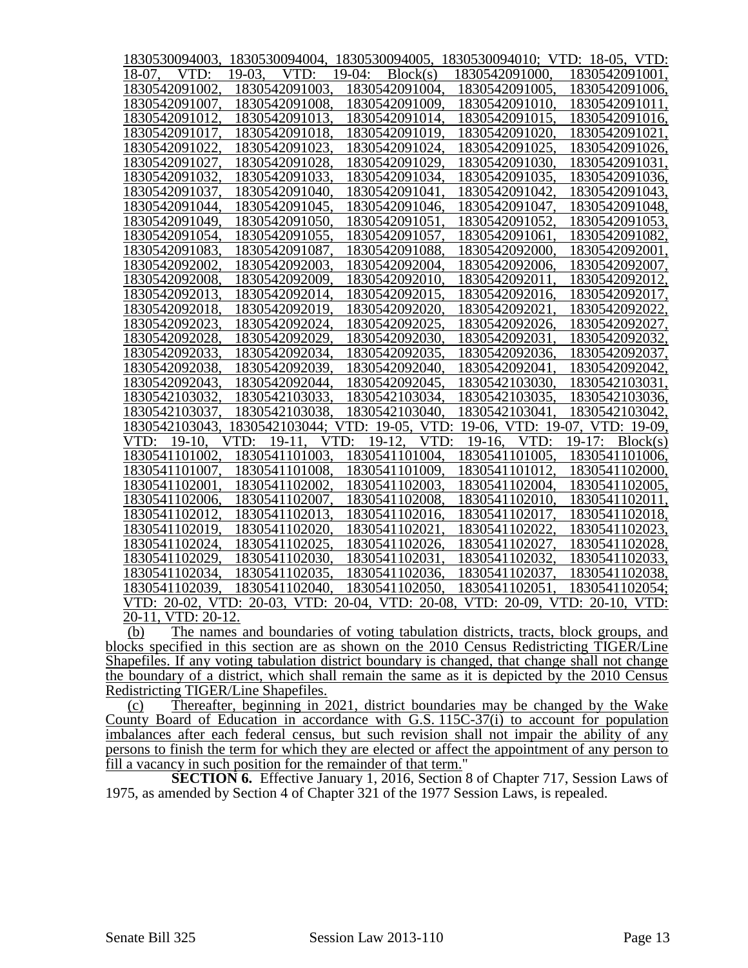|                    |                  | 1830530094003, 1830530094004, 1830530094005, 1830530094010; VTD: 18-05, VTD: |                |                              |
|--------------------|------------------|------------------------------------------------------------------------------|----------------|------------------------------|
| 18-07.<br>VTD:     | $19-03.$<br>VTD: | $19-04:$<br>Block(s)                                                         | 1830542091000. | 1830542091001.               |
| 1830542091002      | 1830542091003    | 1830542091004.                                                               | 1830542091005  | 1830542091006,               |
| 1830542091007.     | 1830542091008    | 1830542091009.                                                               | 1830542091010. | 1830542091011,               |
| 1830542091012      | 1830542091013    | 1830542091014.                                                               | 1830542091015  | 1830542091016,               |
| 1830542091017      | 1830542091018    | 1830542091019                                                                | 1830542091020  | 1830542091021,               |
| 1830542091022      | 1830542091023    | 1830542091024                                                                | 1830542091025  | 1830542091026,               |
| 1830542091027,     | 1830542091028.   | 1830542091029.                                                               | 1830542091030. | 1830542091031,               |
| 1830542091032.     | 1830542091033.   | 1830542091034.                                                               | 1830542091035. | 1830542091036,               |
| 1830542091037,     | 1830542091040.   | 1830542091041                                                                | 1830542091042. | 1830542091043,               |
| 1830542091044.     | 1830542091045,   | 1830542091046.                                                               | 1830542091047, | 1830542091048,               |
| 1830542091049.     | 1830542091050.   | 1830542091051                                                                | 1830542091052, | 1830542091053,               |
| 1830542091054.     | 1830542091055.   | 1830542091057.                                                               | 1830542091061  | 1830542091082,               |
| 1830542091083.     | 1830542091087.   | 1830542091088.                                                               | 1830542092000. | 1830542092001,               |
| 1830542092002.     | 1830542092003    | 1830542092004                                                                | 1830542092006. | 1830542092007,               |
| 1830542092008      | 1830542092009    | 1830542092010.                                                               | 1830542092011  | 1830542092012,               |
| 1830542092013.     | 1830542092014.   | 1830542092015.                                                               | 1830542092016. | 1830542092017,               |
| 1830542092018.     | 1830542092019,   | 1830542092020.                                                               | 1830542092021  | 1830542092022,               |
| 1830542092023,     | 1830542092024,   | 1830542092025,                                                               | 1830542092026, | 1830542092027,               |
| 1830542092028.     | 1830542092029,   | 1830542092030.                                                               | 1830542092031  | 1830542092032,               |
| 1830542092033,     | 1830542092034,   | 1830542092035.                                                               | 1830542092036, | 1830542092037,               |
| 1830542092038,     | 1830542092039,   | 1830542092040,                                                               | 1830542092041. | 1830542092042,               |
| 1830542092043.     | 1830542092044.   | 1830542092045.                                                               | 1830542103030. | 1830542103031,               |
| 1830542103032.     | 1830542103033.   | 1830542103034.                                                               | 1830542103035. | 1830542103036,               |
| 1830542103037.     | 1830542103038    | 1830542103040                                                                | 1830542103041  | 1830542103042,               |
| 1830542103043      | 1830542103044;   | VTD: 19-05, VTD:                                                             | 19-06, VTD:    | 19-07, VTD: 19-09,           |
| VTD: 19-10.        | VTD: 19-11       | $19-12.$<br>VTD:<br>VTD:                                                     | 19-16.<br>VTD: | 19-17: $Block(s)$            |
| 1830541101002      | 1830541101003    | 1830541101004                                                                | 1830541101005. | 1830541101006,               |
| 1830541101007.     | 1830541101008    | 1830541101009                                                                | 1830541101012  | 1830541102000.               |
| 1830541102001      | 1830541102002    | 1830541102003.                                                               | 1830541102004. | 1830541102005,               |
| 1830541102006.     | 1830541102007.   | 1830541102008.                                                               | 1830541102010. | 1830541102011,               |
| 1830541102012.     | 1830541102013.   | 1830541102016.                                                               | 1830541102017. | 1830541102018,               |
| 1830541102019,     | 1830541102020,   | 1830541102021.                                                               | 1830541102022, | 1830541102023,               |
| 1830541102024.     | 1830541102025.   | 1830541102026.                                                               | 1830541102027, | 1830541102028,               |
| 1830541102029.     | 1830541102030.   | 1830541102031                                                                | 1830541102032. | 1830541102033,               |
| 1830541102034,     | 1830541102035,   | 1830541102036.                                                               | 1830541102037. | 1830541102038,               |
| 1830541102039.     | 1830541102040    | 1830541102050                                                                | 1830541102051  | 1830541102054;               |
|                    |                  | VTD: 20-02, VTD: 20-03, VTD: 20-04, VTD: 20-08,                              |                | VTD: 20-09, VTD: 20-10, VTD: |
| 20-11, VTD: 20-12. |                  |                                                                              |                |                              |

(b) The names and boundaries of voting tabulation districts, tracts, block groups, and blocks specified in this section are as shown on the 2010 Census Redistricting TIGER/Line Shapefiles. If any voting tabulation district boundary is changed, that change shall not change the boundary of a district, which shall remain the same as it is depicted by the 2010 Census Redistricting TIGER/Line Shapefiles.

(c) Thereafter, beginning in 2021, district boundaries may be changed by the Wake County Board of Education in accordance with G.S. 115C-37(i) to account for population imbalances after each federal census, but such revision shall not impair the ability of any persons to finish the term for which they are elected or affect the appointment of any person to fill a vacancy in such position for the remainder of that term."

**SECTION 6.** Effective January 1, 2016, Section 8 of Chapter 717, Session Laws of 1975, as amended by Section 4 of Chapter 321 of the 1977 Session Laws, is repealed.